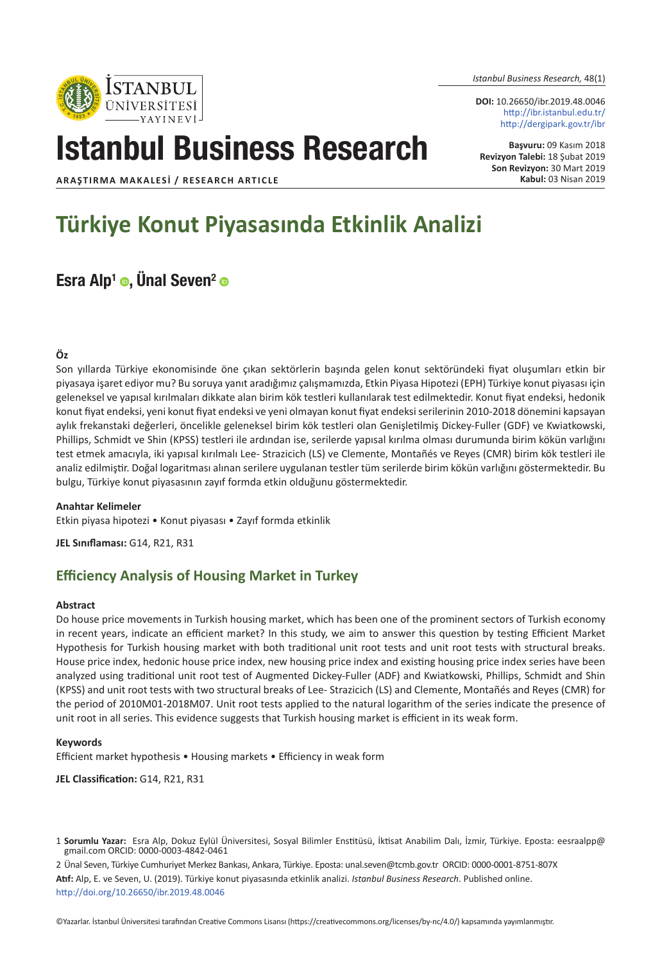*Istanbul Business Research,* 48(1)

**DOI:** 10.26650/ibr.2019.48.0046 http://ibr.istanbul.edu.tr/ http://dergipark.gov.tr/ibr

**Başvuru:** 09 Kasım 2018 **Revizyon Talebi:** 18 Şubat 2019 **Son Revizyon:** 30 Mart 2019 **Kabul:** 03 Nisan 2019

**ARAŞTIRMA MAKALESI / RESEARCH ARTICLE**

# **Türkiye Konut Piyasasında Etkinlik Analizi**

Istanbul Business Research

# Esra Alp<sup>1</sup>  $\bullet$ , Unal Seven<sup>2</sup>  $\bullet$

#### **Öz**

Son yıllarda Türkiye ekonomisinde öne çıkan sektörlerin başında gelen konut sektöründeki fiyat oluşumları etkin bir piyasaya işaret ediyor mu? Bu soruya yanıt aradığımız çalışmamızda, Etkin Piyasa Hipotezi (EPH) Türkiye konut piyasası için geleneksel ve yapısal kırılmaları dikkate alan birim kök testleri kullanılarak test edilmektedir. Konut fiyat endeksi, hedonik konut fiyat endeksi, yeni konut fiyat endeksi ve yeni olmayan konut fiyat endeksi serilerinin 2010-2018 dönemini kapsayan aylık frekanstaki değerleri, öncelikle geleneksel birim kök testleri olan Genişletilmiş Dickey-Fuller (GDF) ve Kwiatkowski, Phillips, Schmidt ve Shin (KPSS) testleri ile ardından ise, serilerde yapısal kırılma olması durumunda birim kökün varlığını test etmek amacıyla, iki yapısal kırılmalı Lee- Strazicich (LS) ve Clemente, Montañés ve Reyes (CMR) birim kök testleri ile analiz edilmiştir. Doğal logaritması alınan serilere uygulanan testler tüm serilerde birim kökün varlığını göstermektedir. Bu bulgu, Türkiye konut piyasasının zayıf formda etkin olduğunu göstermektedir.

#### **Anahtar Kelimeler**

Etkin piyasa hipotezi • Konut piyasası • Zayıf formda etkinlik

**JEL Sınıflaması:** G14, R21, R31

# **Efficiency Analysis of Housing Market in Turkey**

#### **Abstract**

Do house price movements in Turkish housing market, which has been one of the prominent sectors of Turkish economy in recent years, indicate an efficient market? In this study, we aim to answer this question by testing Efficient Market Hypothesis for Turkish housing market with both traditional unit root tests and unit root tests with structural breaks. House price index, hedonic house price index, new housing price index and existing housing price index series have been analyzed using traditional unit root test of Augmented Dickey-Fuller (ADF) and Kwiatkowski, Phillips, Schmidt and Shin (KPSS) and unit root tests with two structural breaks of Lee- Strazicich (LS) and Clemente, Montañés and Reyes (CMR) for the period of 2010M01-2018M07. Unit root tests applied to the natural logarithm of the series indicate the presence of unit root in all series. This evidence suggests that Turkish housing market is efficient in its weak form.

#### **Keywords**

Efficient market hypothesis • Housing markets • Efficiency in weak form

**JEL Classification:** G14, R21, R31

2 Ünal Seven, Türkiye Cumhuriyet Merkez Bankası, Ankara, Türkiye. Eposta: unal.seven@tcmb.gov.tr ORCID: 0000-0001-8751-807X **Atıf:** Alp, E. ve Seven, U. (2019). Türkiye konut piyasasında etkinlik analizi. *Istanbul Business Research*. Published online. <http://doi.org/10.26650/ibr.2019.48.0046>



<sup>1</sup> **Sorumlu Yazar:** Esra Alp, Dokuz Eylül Üniversitesi, Sosyal Bilimler Enstitüsü, İktisat Anabilim Dalı, İzmir, Türkiye. Eposta: eesraalpp@ gmail.com ORCID: 0000-0003-4842-0461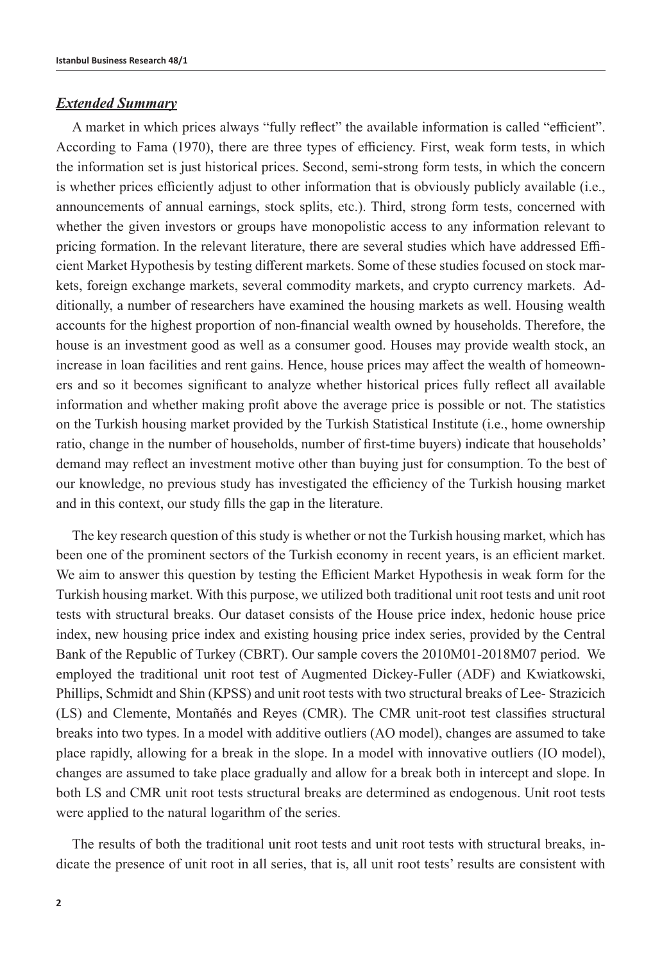### *Extended Summary*

A market in which prices always "fully reflect" the available information is called "efficient". According to Fama (1970), there are three types of efficiency. First, weak form tests, in which the information set is just historical prices. Second, semi-strong form tests, in which the concern is whether prices efficiently adjust to other information that is obviously publicly available (i.e., announcements of annual earnings, stock splits, etc.). Third, strong form tests, concerned with whether the given investors or groups have monopolistic access to any information relevant to pricing formation. In the relevant literature, there are several studies which have addressed Efficient Market Hypothesis by testing different markets. Some of these studies focused on stock markets, foreign exchange markets, several commodity markets, and crypto currency markets. Additionally, a number of researchers have examined the housing markets as well. Housing wealth accounts for the highest proportion of non-financial wealth owned by households. Therefore, the house is an investment good as well as a consumer good. Houses may provide wealth stock, an increase in loan facilities and rent gains. Hence, house prices may affect the wealth of homeowners and so it becomes significant to analyze whether historical prices fully reflect all available information and whether making profit above the average price is possible or not. The statistics on the Turkish housing market provided by the Turkish Statistical Institute (i.e., home ownership ratio, change in the number of households, number of first-time buyers) indicate that households' demand may reflect an investment motive other than buying just for consumption. To the best of our knowledge, no previous study has investigated the efficiency of the Turkish housing market and in this context, our study fills the gap in the literature.

The key research question of this study is whether or not the Turkish housing market, which has been one of the prominent sectors of the Turkish economy in recent years, is an efficient market. We aim to answer this question by testing the Efficient Market Hypothesis in weak form for the Turkish housing market. With this purpose, we utilized both traditional unit root tests and unit root tests with structural breaks. Our dataset consists of the House price index, hedonic house price index, new housing price index and existing housing price index series, provided by the Central Bank of the Republic of Turkey (CBRT). Our sample covers the 2010M01-2018M07 period. We employed the traditional unit root test of Augmented Dickey-Fuller (ADF) and Kwiatkowski, Phillips, Schmidt and Shin (KPSS) and unit root tests with two structural breaks of Lee- Strazicich (LS) and Clemente, Montañés and Reyes (CMR). The CMR unit-root test classifies structural breaks into two types. In a model with additive outliers (AO model), changes are assumed to take place rapidly, allowing for a break in the slope. In a model with innovative outliers (IO model), changes are assumed to take place gradually and allow for a break both in intercept and slope. In both LS and CMR unit root tests structural breaks are determined as endogenous. Unit root tests were applied to the natural logarithm of the series.

The results of both the traditional unit root tests and unit root tests with structural breaks, indicate the presence of unit root in all series, that is, all unit root tests' results are consistent with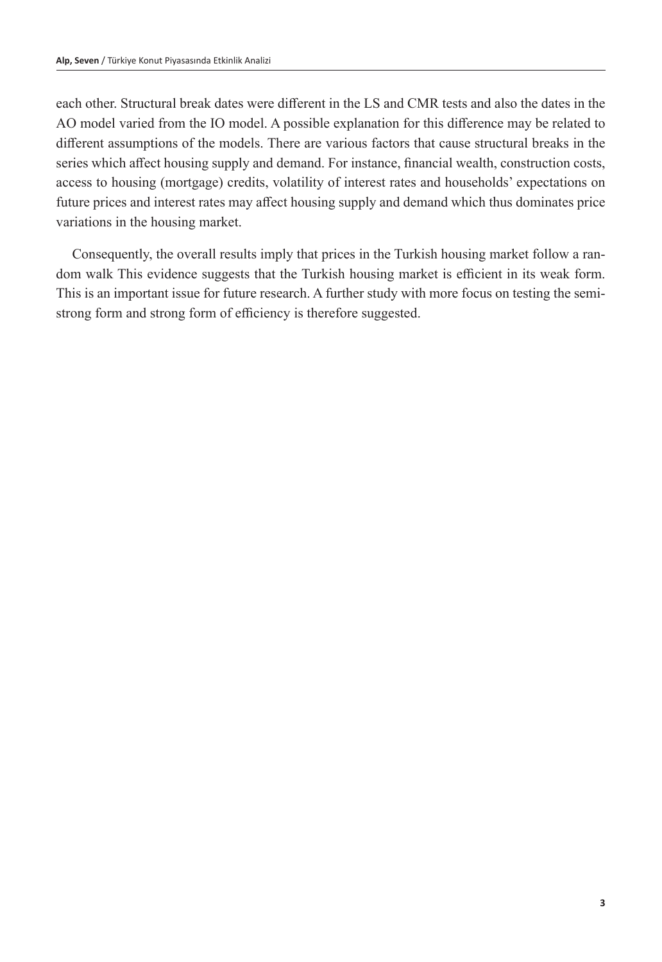each other. Structural break dates were different in the LS and CMR tests and also the dates in the AO model varied from the IO model. A possible explanation for this difference may be related to different assumptions of the models. There are various factors that cause structural breaks in the series which affect housing supply and demand. For instance, financial wealth, construction costs, access to housing (mortgage) credits, volatility of interest rates and households' expectations on future prices and interest rates may affect housing supply and demand which thus dominates price variations in the housing market.

Consequently, the overall results imply that prices in the Turkish housing market follow a random walk This evidence suggests that the Turkish housing market is efficient in its weak form. This is an important issue for future research. A further study with more focus on testing the semistrong form and strong form of efficiency is therefore suggested.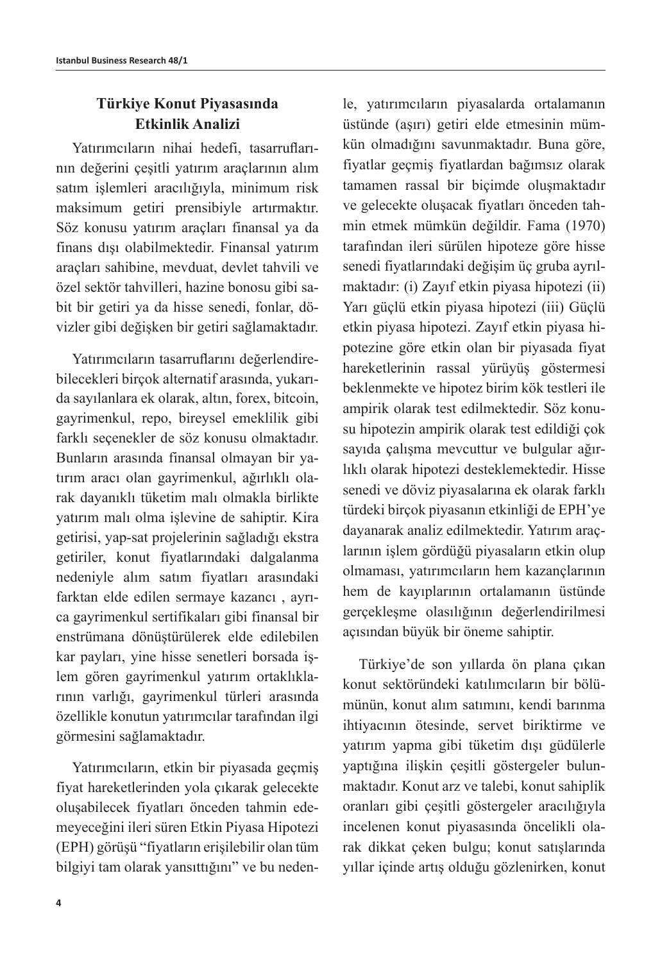# **Türkiye Konut Piyasasında Etkinlik Analizi**

Yatırımcıların nihai hedefi, tasarruflarının değerini çeşitli yatırım araçlarının alım satım işlemleri aracılığıyla, minimum risk maksimum getiri prensibiyle artırmaktır. Söz konusu yatırım araçları finansal ya da finans dışı olabilmektedir. Finansal yatırım araçları sahibine, mevduat, devlet tahvili ve özel sektör tahvilleri, hazine bonosu gibi sabit bir getiri ya da hisse senedi, fonlar, dövizler gibi değişken bir getiri sağlamaktadır.

Yatırımcıların tasarruflarını değerlendirebilecekleri birçok alternatif arasında, yukarıda sayılanlara ek olarak, altın, forex, bitcoin, gayrimenkul, repo, bireysel emeklilik gibi farklı seçenekler de söz konusu olmaktadır. Bunların arasında finansal olmayan bir yatırım aracı olan gayrimenkul, ağırlıklı olarak dayanıklı tüketim malı olmakla birlikte yatırım malı olma işlevine de sahiptir. Kira getirisi, yap-sat projelerinin sağladığı ekstra getiriler, konut fiyatlarındaki dalgalanma nedeniyle alım satım fiyatları arasındaki farktan elde edilen sermaye kazancı , ayrıca gayrimenkul sertifikaları gibi finansal bir enstrümana dönüştürülerek elde edilebilen kar payları, yine hisse senetleri borsada işlem gören gayrimenkul yatırım ortaklıklarının varlığı, gayrimenkul türleri arasında özellikle konutun yatırımcılar tarafından ilgi görmesini sağlamaktadır.

Yatırımcıların, etkin bir piyasada geçmiş fiyat hareketlerinden yola çıkarak gelecekte oluşabilecek fiyatları önceden tahmin edemeyeceğini ileri süren Etkin Piyasa Hipotezi (EPH) görüşü "fiyatların erişilebilir olan tüm bilgiyi tam olarak yansıttığını" ve bu nedentamamen rassal bir biçimde oluşmaktadır ve gelecekte oluşacak fiyatları önceden tahmin etmek mümkün değildir. Fama (1970) tarafından ileri sürülen hipoteze göre hisse senedi fiyatlarındaki değişim üç gruba ayrılmaktadır: (i) Zayıf etkin piyasa hipotezi (ii) Yarı güçlü etkin piyasa hipotezi (iii) Güçlü etkin piyasa hipotezi. Zayıf etkin piyasa hipotezine göre etkin olan bir piyasada fiyat hareketlerinin rassal yürüyüş göstermesi beklenmekte ve hipotez birim kök testleri ile ampirik olarak test edilmektedir. Söz konusu hipotezin ampirik olarak test edildiği çok sayıda çalışma mevcuttur ve bulgular ağırlıklı olarak hipotezi desteklemektedir. Hisse senedi ve döviz piyasalarına ek olarak farklı türdeki birçok piyasanın etkinliği de EPH'ye dayanarak analiz edilmektedir. Yatırım araçlarının işlem gördüğü piyasaların etkin olup olmaması, yatırımcıların hem kazançlarının hem de kayıplarının ortalamanın üstünde gerçekleşme olasılığının değerlendirilmesi açısından büyük bir öneme sahiptir. Türkiye'de son yıllarda ön plana çıkan

le, yatırımcıların piyasalarda ortalamanın üstünde (aşırı) getiri elde etmesinin mümkün olmadığını savunmaktadır. Buna göre, fiyatlar geçmiş fiyatlardan bağımsız olarak

konut sektöründeki katılımcıların bir bölümünün, konut alım satımını, kendi barınma ihtiyacının ötesinde, servet biriktirme ve yatırım yapma gibi tüketim dışı güdülerle yaptığına ilişkin çeşitli göstergeler bulunmaktadır. Konut arz ve talebi, konut sahiplik oranları gibi çeşitli göstergeler aracılığıyla incelenen konut piyasasında öncelikli olarak dikkat çeken bulgu; konut satışlarında yıllar içinde artış olduğu gözlenirken, konut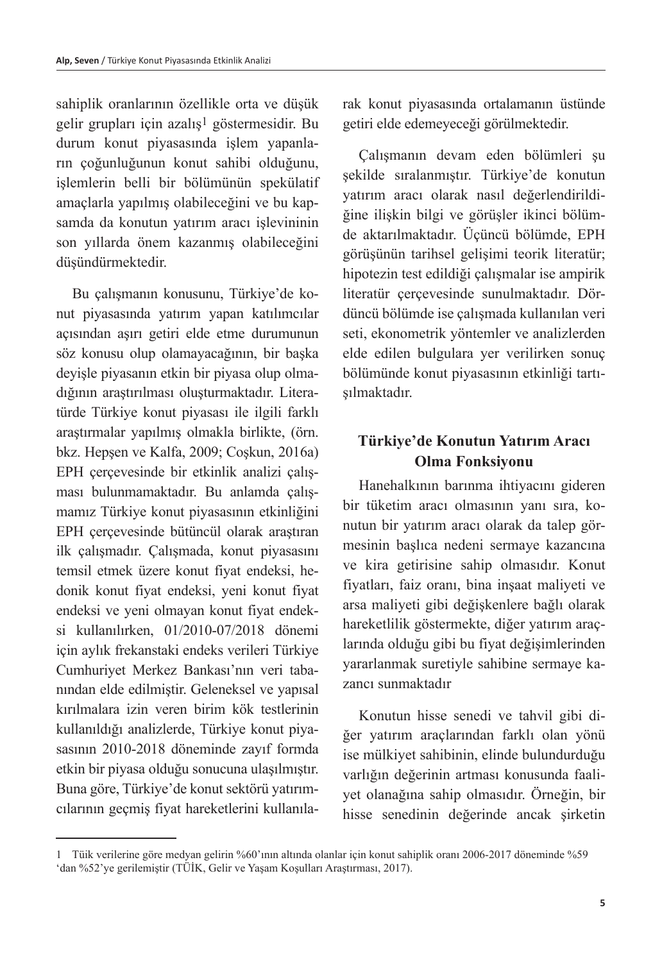sahiplik oranlarının özellikle orta ve düşük gelir grupları için azalış1 göstermesidir. Bu durum konut piyasasında işlem yapanların çoğunluğunun konut sahibi olduğunu, işlemlerin belli bir bölümünün spekülatif amaçlarla yapılmış olabileceğini ve bu kapsamda da konutun yatırım aracı işlevininin son yıllarda önem kazanmış olabileceğini düşündürmektedir.

Bu çalışmanın konusunu, Türkiye'de konut piyasasında yatırım yapan katılımcılar açısından aşırı getiri elde etme durumunun söz konusu olup olamayacağının, bir başka deyişle piyasanın etkin bir piyasa olup olmadığının araştırılması oluşturmaktadır. Literatürde Türkiye konut piyasası ile ilgili farklı araştırmalar yapılmış olmakla birlikte, (örn. bkz. Hepşen ve Kalfa, 2009; Coşkun, 2016a) EPH çerçevesinde bir etkinlik analizi çalışması bulunmamaktadır. Bu anlamda çalışmamız Türkiye konut piyasasının etkinliğini EPH çerçevesinde bütüncül olarak araştıran ilk çalışmadır. Çalışmada, konut piyasasını temsil etmek üzere konut fiyat endeksi, hedonik konut fiyat endeksi, yeni konut fiyat endeksi ve yeni olmayan konut fiyat endeksi kullanılırken, 01/2010-07/2018 dönemi için aylık frekanstaki endeks verileri Türkiye Cumhuriyet Merkez Bankası'nın veri tabanından elde edilmiştir. Geleneksel ve yapısal kırılmalara izin veren birim kök testlerinin kullanıldığı analizlerde, Türkiye konut piyasasının 2010-2018 döneminde zayıf formda etkin bir piyasa olduğu sonucuna ulaşılmıştır. Buna göre, Türkiye'de konut sektörü yatırımcılarının geçmiş fiyat hareketlerini kullanılarak konut piyasasında ortalamanın üstünde getiri elde edemeyeceği görülmektedir.

Çalışmanın devam eden bölümleri şu şekilde sıralanmıştır. Türkiye'de konutun yatırım aracı olarak nasıl değerlendirildiğine ilişkin bilgi ve görüşler ikinci bölümde aktarılmaktadır. Üçüncü bölümde, EPH görüşünün tarihsel gelişimi teorik literatür; hipotezin test edildiği çalışmalar ise ampirik literatür çerçevesinde sunulmaktadır. Dördüncü bölümde ise çalışmada kullanılan veri seti, ekonometrik yöntemler ve analizlerden elde edilen bulgulara yer verilirken sonuç bölümünde konut piyasasının etkinliği tartışılmaktadır.

# **Türkiye'de Konutun Yatırım Aracı Olma Fonksiyonu**

Hanehalkının barınma ihtiyacını gideren bir tüketim aracı olmasının yanı sıra, konutun bir yatırım aracı olarak da talep görmesinin başlıca nedeni sermaye kazancına ve kira getirisine sahip olmasıdır. Konut fiyatları, faiz oranı, bina inşaat maliyeti ve arsa maliyeti gibi değişkenlere bağlı olarak hareketlilik göstermekte, diğer yatırım araçlarında olduğu gibi bu fiyat değişimlerinden yararlanmak suretiyle sahibine sermaye kazancı sunmaktadır

Konutun hisse senedi ve tahvil gibi diğer yatırım araçlarından farklı olan yönü ise mülkiyet sahibinin, elinde bulundurduğu varlığın değerinin artması konusunda faaliyet olanağına sahip olmasıdır. Örneğin, bir hisse senedinin değerinde ancak şirketin

<sup>1</sup> Tüik verilerine göre medyan gelirin %60'ının altında olanlar için konut sahiplik oranı 2006-2017 döneminde %59 'dan %52'ye gerilemiştir (TÜİK, Gelir ve Yaşam Koşulları Araştırması, 2017).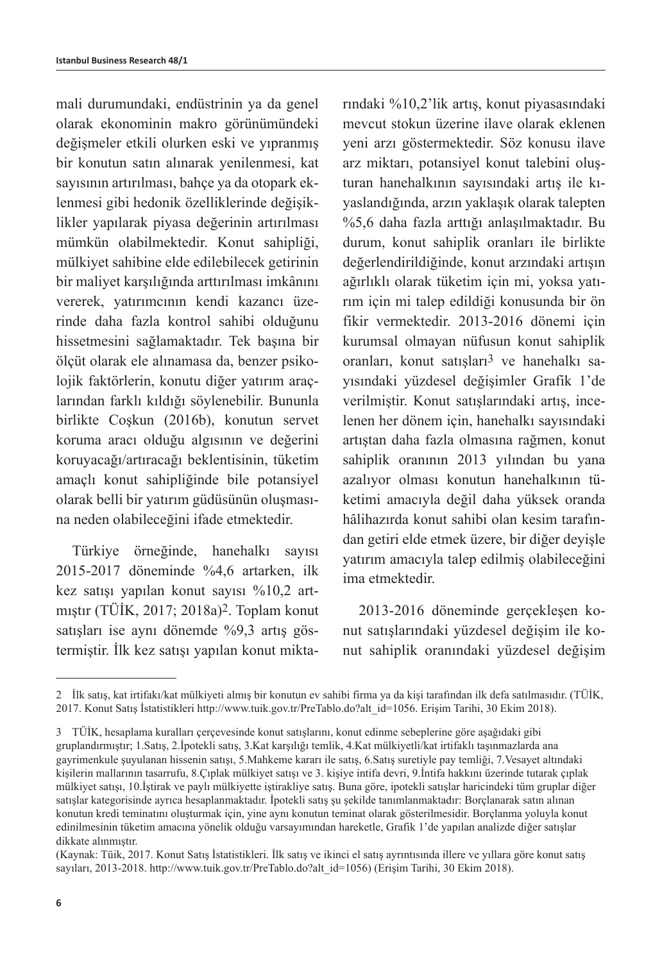mali durumundaki, endüstrinin ya da genel olarak ekonominin makro görünümündeki değişmeler etkili olurken eski ve yıpranmış bir konutun satın alınarak yenilenmesi, kat sayısının artırılması, bahçe ya da otopark eklenmesi gibi hedonik özelliklerinde değişiklikler yapılarak piyasa değerinin artırılması mümkün olabilmektedir. Konut sahipliği, mülkiyet sahibine elde edilebilecek getirinin bir maliyet karşılığında arttırılması imkânını vererek, yatırımcının kendi kazancı üzerinde daha fazla kontrol sahibi olduğunu hissetmesini sağlamaktadır. Tek başına bir ölçüt olarak ele alınamasa da, benzer psikolojik faktörlerin, konutu diğer yatırım araçlarından farklı kıldığı söylenebilir. Bununla birlikte Coşkun (2016b), konutun servet koruma aracı olduğu algısının ve değerini koruyacağı/artıracağı beklentisinin, tüketim amaçlı konut sahipliğinde bile potansiyel olarak belli bir yatırım güdüsünün oluşmasına neden olabileceğini ifade etmektedir.

Türkiye örneğinde, hanehalkı sayısı 2015-2017 döneminde %4,6 artarken, ilk kez satışı yapılan konut sayısı %10,2 artmıştır (TÜİK, 2017; 2018a)2. Toplam konut satışları ise aynı dönemde %9,3 artış göstermiştir. İlk kez satışı yapılan konut miktarındaki %10,2'lik artış, konut piyasasındaki mevcut stokun üzerine ilave olarak eklenen yeni arzı göstermektedir. Söz konusu ilave arz miktarı, potansiyel konut talebini oluşturan hanehalkının sayısındaki artış ile kıyaslandığında, arzın yaklaşık olarak talepten %5,6 daha fazla arttığı anlaşılmaktadır. Bu durum, konut sahiplik oranları ile birlikte değerlendirildiğinde, konut arzındaki artışın ağırlıklı olarak tüketim için mi, yoksa yatırım için mi talep edildiği konusunda bir ön fikir vermektedir. 2013-2016 dönemi için kurumsal olmayan nüfusun konut sahiplik oranları, konut satışları3 ve hanehalkı sayısındaki yüzdesel değişimler Grafik 1'de verilmiştir. Konut satışlarındaki artış, incelenen her dönem için, hanehalkı sayısındaki artıştan daha fazla olmasına rağmen, konut sahiplik oranının 2013 yılından bu yana azalıyor olması konutun hanehalkının tüketimi amacıyla değil daha yüksek oranda hâlihazırda konut sahibi olan kesim tarafından getiri elde etmek üzere, bir diğer deyişle yatırım amacıyla talep edilmiş olabileceğini ima etmektedir.

2013-2016 döneminde gerçekleşen konut satışlarındaki yüzdesel değişim ile konut sahiplik oranındaki yüzdesel değişim

<sup>2</sup> İlk satış, kat irtifakı/kat mülkiyeti almış bir konutun ev sahibi firma ya da kişi tarafından ilk defa satılmasıdır. (TÜİK, 2017. Konut Satış İstatistikleri http://www.tuik.gov.tr/PreTablo.do?alt\_id=1056. Erişim Tarihi, 30 Ekim 2018).

<sup>3</sup> TÜİK, hesaplama kuralları çerçevesinde konut satışlarını, konut edinme sebeplerine göre aşağıdaki gibi gruplandırmıştır; 1.Satış, 2.İpotekli satış, 3.Kat karşılığı temlik, 4.Kat mülkiyetli/kat irtifaklı taşınmazlarda ana gayrimenkule şuyulanan hissenin satışı, 5.Mahkeme kararı ile satış, 6.Satış suretiyle pay temliği, 7.Vesayet altındaki kişilerin mallarının tasarrufu, 8.Çıplak mülkiyet satışı ve 3. kişiye intifa devri, 9.İntifa hakkını üzerinde tutarak çıplak mülkiyet satışı, 10.İştirak ve paylı mülkiyette iştirakliye satış. Buna göre, ipotekli satışlar haricindeki tüm gruplar diğer satışlar kategorisinde ayrıca hesaplanmaktadır. İpotekli satış şu şekilde tanımlanmaktadır: Borçlanarak satın alınan konutun kredi teminatını oluşturmak için, yine aynı konutun teminat olarak gösterilmesidir. Borçlanma yoluyla konut edinilmesinin tüketim amacına yönelik olduğu varsayımından hareketle, Grafik 1'de yapılan analizde diğer satışlar dikkate alınmıştır.

<sup>(</sup>Kaynak: Tüik, 2017. Konut Satış İstatistikleri. İlk satış ve ikinci el satış ayrıntısında illere ve yıllara göre konut satış sayıları, 2013-2018. http://www.tuik.gov.tr/PreTablo.do?alt\_id=1056) (Erişim Tarihi, 30 Ekim 2018).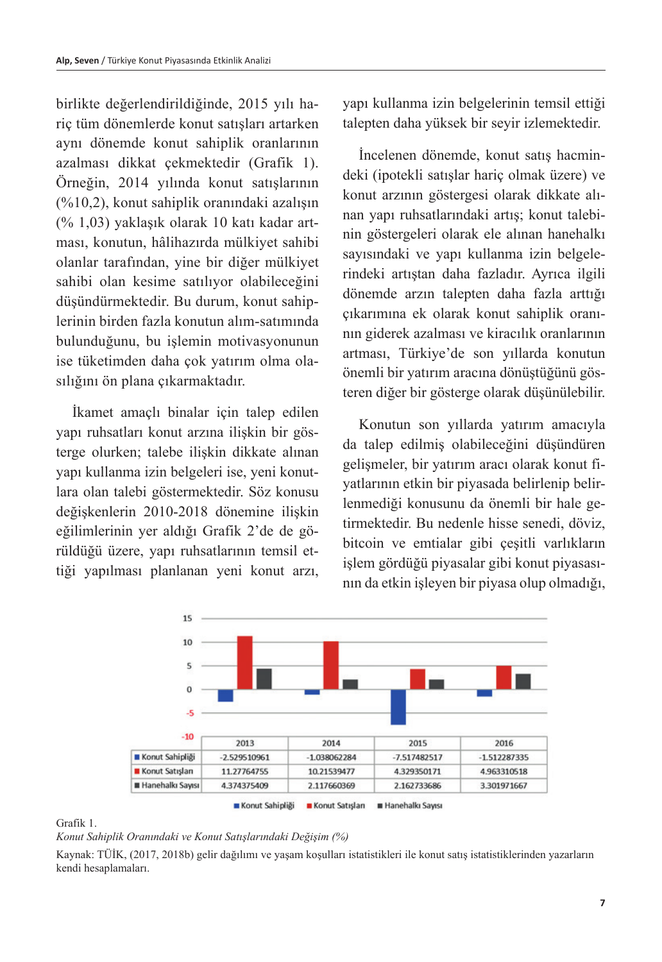birlikte değerlendirildiğinde, 2015 yılı hariç tüm dönemlerde konut satışları artarken aynı dönemde konut sahiplik oranlarının azalması dikkat çekmektedir (Grafik 1). Örneğin, 2014 yılında konut satışlarının (%10,2), konut sahiplik oranındaki azalışın (% 1,03) yaklaşık olarak 10 katı kadar artması, konutun, hâlihazırda mülkiyet sahibi olanlar tarafından, yine bir diğer mülkiyet sahibi olan kesime satılıyor olabileceğini düşündürmektedir. Bu durum, konut sahiplerinin birden fazla konutun alım-satımında bulunduğunu, bu işlemin motivasyonunun ise tüketimden daha çok yatırım olma olasılığını ön plana çıkarmaktadır.

İkamet amaçlı binalar için talep edilen yapı ruhsatları konut arzına ilişkin bir gösterge olurken; talebe ilişkin dikkate alınan yapı kullanma izin belgeleri ise, yeni konutlara olan talebi göstermektedir. Söz konusu değişkenlerin 2010-2018 dönemine ilişkin eğilimlerinin yer aldığı Grafik 2'de de görüldüğü üzere, yapı ruhsatlarının temsil ettiği yapılması planlanan yeni konut arzı,

yapı kullanma izin belgelerinin temsil ettiği talepten daha yüksek bir seyir izlemektedir.

İncelenen dönemde, konut satış hacmindeki (ipotekli satışlar hariç olmak üzere) ve konut arzının göstergesi olarak dikkate alınan yapı ruhsatlarındaki artış; konut talebinin göstergeleri olarak ele alınan hanehalkı sayısındaki ve yapı kullanma izin belgelerindeki artıştan daha fazladır. Ayrıca ilgili dönemde arzın talepten daha fazla arttığı çıkarımına ek olarak konut sahiplik oranının giderek azalması ve kiracılık oranlarının artması, Türkiye'de son yıllarda konutun önemli bir yatırım aracına dönüştüğünü gösteren diğer bir gösterge olarak düşünülebilir.

Konutun son yıllarda yatırım amacıyla da talep edilmiş olabileceğini düşündüren gelişmeler, bir yatırım aracı olarak konut fiyatlarının etkin bir piyasada belirlenip belirlenmediği konusunu da önemli bir hale getirmektedir. Bu nedenle hisse senedi, döviz, bitcoin ve emtialar gibi çeşitli varlıkların işlem gördüğü piyasalar gibi konut piyasasının da etkin işleyen bir piyasa olup olmadığı,



#### Grafik 1.

*Konut Sahiplik Oranındaki ve Konut Satışlarındaki Değişim (%)*

Kaynak: TÜİK, (2017, 2018b) gelir dağılımı ve yaşam koşulları istatistikleri ile konut satış istatistiklerinden yazarların kendi hesaplamaları.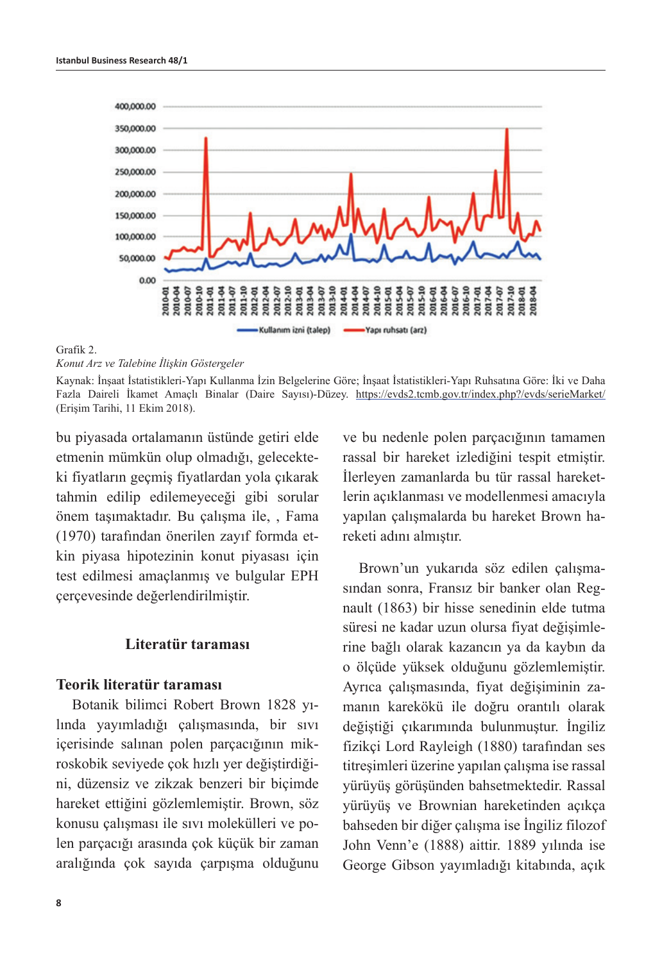

#### Grafik 2.

*Konut Arz ve Talebine İlişkin Göstergeler*

Kaynak: İnşaat İstatistikleri-Yapı Kullanma İzin Belgelerine Göre; İnşaat İstatistikleri-Yapı Ruhsatına Göre: İki ve Daha Fazla Daireli İkamet Amaçlı Binalar (Daire Sayısı)-Düzey. https://evds2.tcmb.gov.tr/index.php?/evds/serieMarket/ (Erişim Tarihi, 11 Ekim 2018).

bu piyasada ortalamanın üstünde getiri elde etmenin mümkün olup olmadığı, gelecekteki fiyatların geçmiş fiyatlardan yola çıkarak tahmin edilip edilemeyeceği gibi sorular önem taşımaktadır. Bu çalışma ile, , Fama (1970) tarafından önerilen zayıf formda etkin piyasa hipotezinin konut piyasası için test edilmesi amaçlanmış ve bulgular EPH çerçevesinde değerlendirilmiştir.

### **Literatür taraması**

## **Teorik literatür taraması**

Botanik bilimci Robert Brown 1828 yılında yayımladığı çalışmasında, bir sıvı içerisinde salınan polen parçacığının mikroskobik seviyede çok hızlı yer değiştirdiğini, düzensiz ve zikzak benzeri bir biçimde hareket ettiğini gözlemlemiştir. Brown, söz konusu çalışması ile sıvı molekülleri ve polen parçacığı arasında çok küçük bir zaman aralığında çok sayıda çarpışma olduğunu

ve bu nedenle polen parçacığının tamamen rassal bir hareket izlediğini tespit etmiştir. İlerleyen zamanlarda bu tür rassal hareketlerin açıklanması ve modellenmesi amacıyla yapılan çalışmalarda bu hareket Brown hareketi adını almıştır.

Brown'un yukarıda söz edilen çalışmasından sonra, Fransız bir banker olan Regnault (1863) bir hisse senedinin elde tutma süresi ne kadar uzun olursa fiyat değişimlerine bağlı olarak kazancın ya da kaybın da o ölçüde yüksek olduğunu gözlemlemiştir. Ayrıca çalışmasında, fiyat değişiminin zamanın karekökü ile doğru orantılı olarak değiştiği çıkarımında bulunmuştur. İngiliz fizikçi Lord Rayleigh (1880) tarafından ses titreşimleri üzerine yapılan çalışma ise rassal yürüyüş görüşünden bahsetmektedir. Rassal yürüyüş ve Brownian hareketinden açıkça bahseden bir diğer çalışma ise İngiliz filozof John Venn'e (1888) aittir. 1889 yılında ise George Gibson yayımladığı kitabında, açık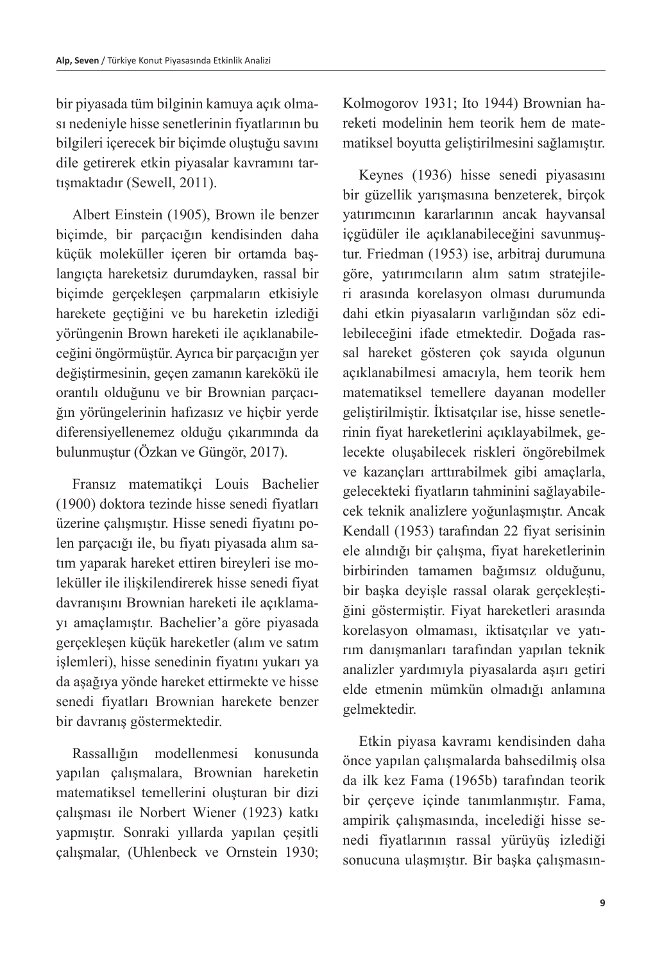bir piyasada tüm bilginin kamuya açık olması nedeniyle hisse senetlerinin fiyatlarının bu bilgileri içerecek bir biçimde oluştuğu savını dile getirerek etkin piyasalar kavramını tartışmaktadır (Sewell, 2011).

Albert Einstein (1905), Brown ile benzer biçimde, bir parçacığın kendisinden daha küçük moleküller içeren bir ortamda başlangıçta hareketsiz durumdayken, rassal bir biçimde gerçekleşen çarpmaların etkisiyle harekete geçtiğini ve bu hareketin izlediği yörüngenin Brown hareketi ile açıklanabileceğini öngörmüştür. Ayrıca bir parçacığın yer değiştirmesinin, geçen zamanın karekökü ile orantılı olduğunu ve bir Brownian parçacığın yörüngelerinin hafızasız ve hiçbir yerde diferensiyellenemez olduğu çıkarımında da bulunmuştur (Özkan ve Güngör, 2017).

Fransız matematikçi Louis Bachelier (1900) doktora tezinde hisse senedi fiyatları üzerine çalışmıştır. Hisse senedi fiyatını polen parçacığı ile, bu fiyatı piyasada alım satım yaparak hareket ettiren bireyleri ise moleküller ile ilişkilendirerek hisse senedi fiyat davranışını Brownian hareketi ile açıklamayı amaçlamıştır. Bachelier'a göre piyasada gerçekleşen küçük hareketler (alım ve satım işlemleri), hisse senedinin fiyatını yukarı ya da aşağıya yönde hareket ettirmekte ve hisse senedi fiyatları Brownian harekete benzer bir davranış göstermektedir.

Rassallığın modellenmesi konusunda yapılan çalışmalara, Brownian hareketin matematiksel temellerini oluşturan bir dizi çalışması ile Norbert Wiener (1923) katkı yapmıştır. Sonraki yıllarda yapılan çeşitli çalışmalar, (Uhlenbeck ve Ornstein 1930;

Kolmogorov 1931; Ito 1944) Brownian hareketi modelinin hem teorik hem de matematiksel boyutta geliştirilmesini sağlamıştır.

Keynes (1936) hisse senedi piyasasını bir güzellik yarışmasına benzeterek, birçok yatırımcının kararlarının ancak hayvansal içgüdüler ile açıklanabileceğini savunmuştur. Friedman (1953) ise, arbitraj durumuna göre, yatırımcıların alım satım stratejileri arasında korelasyon olması durumunda dahi etkin piyasaların varlığından söz edilebileceğini ifade etmektedir. Doğada rassal hareket gösteren çok sayıda olgunun açıklanabilmesi amacıyla, hem teorik hem matematiksel temellere dayanan modeller geliştirilmiştir. İktisatçılar ise, hisse senetlerinin fiyat hareketlerini açıklayabilmek, gelecekte oluşabilecek riskleri öngörebilmek ve kazançları arttırabilmek gibi amaçlarla, gelecekteki fiyatların tahminini sağlayabilecek teknik analizlere yoğunlaşmıştır. Ancak Kendall (1953) tarafından 22 fiyat serisinin ele alındığı bir çalışma, fiyat hareketlerinin birbirinden tamamen bağımsız olduğunu, bir başka deyişle rassal olarak gerçekleştiğini göstermiştir. Fiyat hareketleri arasında korelasyon olmaması, iktisatçılar ve yatırım danışmanları tarafından yapılan teknik analizler yardımıyla piyasalarda aşırı getiri elde etmenin mümkün olmadığı anlamına gelmektedir.

Etkin piyasa kavramı kendisinden daha önce yapılan çalışmalarda bahsedilmiş olsa da ilk kez Fama (1965b) tarafından teorik bir çerçeve içinde tanımlanmıştır. Fama, ampirik çalışmasında, incelediği hisse senedi fiyatlarının rassal yürüyüş izlediği sonucuna ulaşmıştır. Bir başka çalışmasın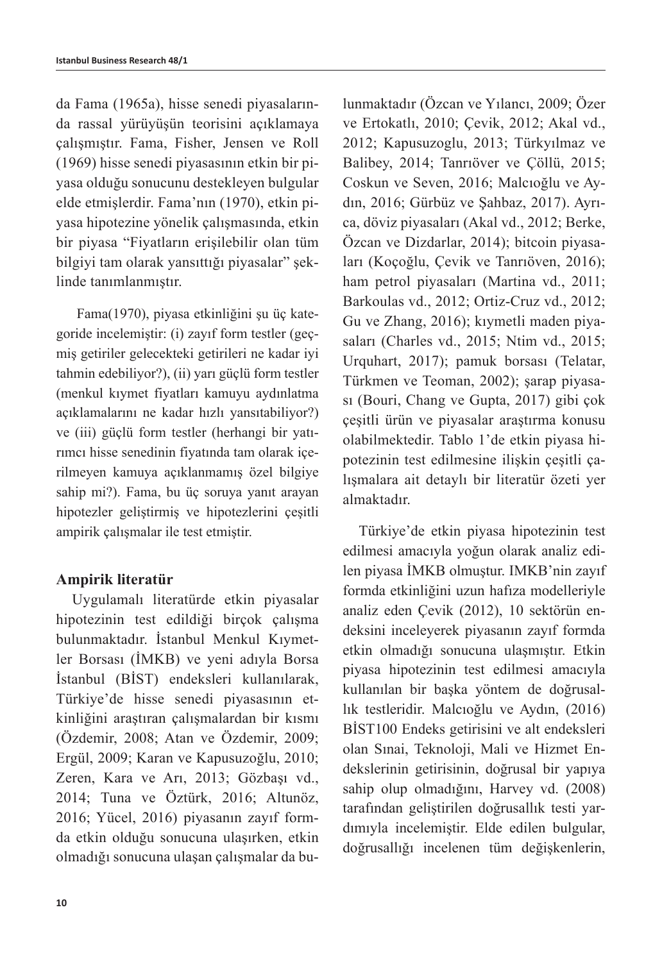da Fama (1965a), hisse senedi piyasalarında rassal yürüyüşün teorisini açıklamaya çalışmıştır. Fama, Fisher, Jensen ve Roll (1969) hisse senedi piyasasının etkin bir piyasa olduğu sonucunu destekleyen bulgular elde etmişlerdir. Fama'nın (1970), etkin piyasa hipotezine yönelik çalışmasında, etkin bir piyasa "Fiyatların erişilebilir olan tüm bilgiyi tam olarak yansıttığı piyasalar" şeklinde tanımlanmıştır.

Fama(1970), piyasa etkinliğini şu üç kategoride incelemiştir: (i) zayıf form testler (geçmiş getiriler gelecekteki getirileri ne kadar iyi tahmin edebiliyor?), (ii) yarı güçlü form testler (menkul kıymet fiyatları kamuyu aydınlatma açıklamalarını ne kadar hızlı yansıtabiliyor?) ve (iii) güçlü form testler (herhangi bir yatırımcı hisse senedinin fiyatında tam olarak içerilmeyen kamuya açıklanmamış özel bilgiye sahip mi?). Fama, bu üç soruya yanıt arayan hipotezler geliştirmiş ve hipotezlerini çeşitli ampirik çalışmalar ile test etmiştir.

## **Ampirik literatür**

Uygulamalı literatürde etkin piyasalar hipotezinin test edildiği birçok çalışma bulunmaktadır. İstanbul Menkul Kıymetler Borsası (İMKB) ve yeni adıyla Borsa İstanbul (BİST) endeksleri kullanılarak, Türkiye'de hisse senedi piyasasının etkinliğini araştıran çalışmalardan bir kısmı (Özdemir, 2008; Atan ve Özdemir, 2009; Ergül, 2009; Karan ve Kapusuzoğlu, 2010; Zeren, Kara ve Arı, 2013; Gözbaşı vd., 2014; Tuna ve Öztürk, 2016; Altunöz, 2016; Yücel, 2016) piyasanın zayıf formda etkin olduğu sonucuna ulaşırken, etkin olmadığı sonucuna ulaşan çalışmalar da bulunmaktadır (Özcan ve Yılancı, 2009; Özer ve Ertokatlı, 2010; Çevik, 2012; Akal vd., 2012; Kapusuzoglu, 2013; Türkyılmaz ve Balibey, 2014; Tanrıöver ve Çöllü, 2015; Coskun ve Seven, 2016; Malcıoğlu ve Aydın, 2016; Gürbüz ve Şahbaz, 2017). Ayrıca, döviz piyasaları (Akal vd., 2012; Berke, Özcan ve Dizdarlar, 2014); bitcoin piyasaları (Koçoğlu, Çevik ve Tanrıöven, 2016); ham petrol piyasaları (Martina vd., 2011; Barkoulas vd., 2012; Ortiz-Cruz vd., 2012; Gu ve Zhang, 2016); kıymetli maden piyasaları (Charles vd., 2015; Ntim vd., 2015; Urquhart, 2017); pamuk borsası (Telatar, Türkmen ve Teoman, 2002); şarap piyasası (Bouri, Chang ve Gupta, 2017) gibi çok çeşitli ürün ve piyasalar araştırma konusu olabilmektedir. Tablo 1'de etkin piyasa hipotezinin test edilmesine ilişkin çeşitli çalışmalara ait detaylı bir literatür özeti yer almaktadır.

Türkiye'de etkin piyasa hipotezinin test edilmesi amacıyla yoğun olarak analiz edilen piyasa İMKB olmuştur. IMKB'nin zayıf formda etkinliğini uzun hafıza modelleriyle analiz eden Çevik (2012), 10 sektörün endeksini inceleyerek piyasanın zayıf formda etkin olmadığı sonucuna ulaşmıştır. Etkin piyasa hipotezinin test edilmesi amacıyla kullanılan bir başka yöntem de doğrusallık testleridir. Malcıoğlu ve Aydın, (2016) BİST100 Endeks getirisini ve alt endeksleri olan Sınai, Teknoloji, Mali ve Hizmet Endekslerinin getirisinin, doğrusal bir yapıya sahip olup olmadığını, Harvey vd. (2008) tarafından geliştirilen doğrusallık testi yardımıyla incelemiştir. Elde edilen bulgular, doğrusallığı incelenen tüm değişkenlerin,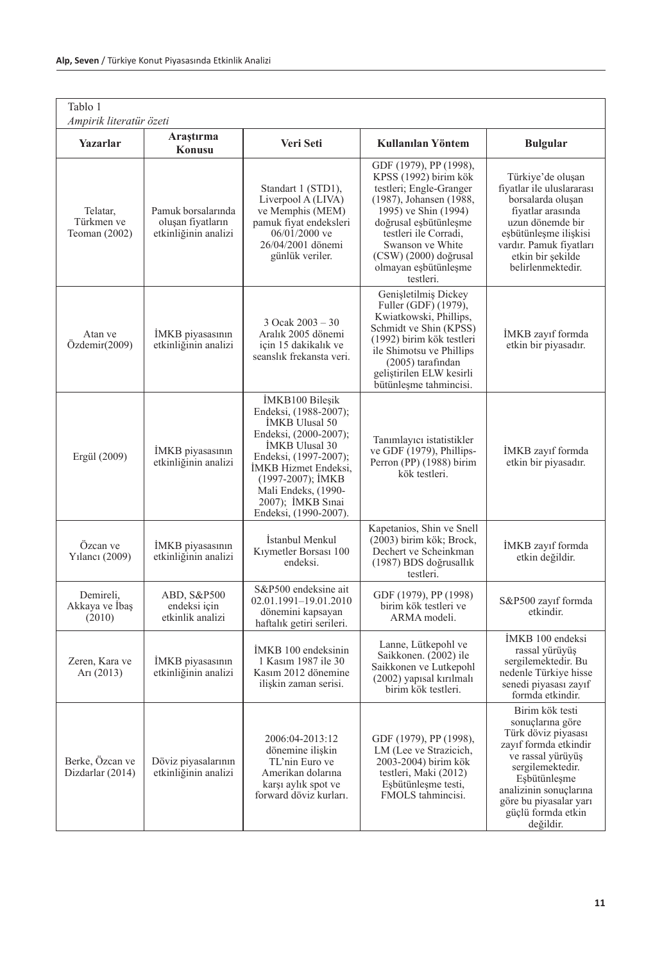| Tablo 1<br>Ampirik literatür özeti      |                                                                 |                                                                                                                                                                                                                                                  |                                                                                                                                                                                                                                                                     |                                                                                                                                                                                                                                     |
|-----------------------------------------|-----------------------------------------------------------------|--------------------------------------------------------------------------------------------------------------------------------------------------------------------------------------------------------------------------------------------------|---------------------------------------------------------------------------------------------------------------------------------------------------------------------------------------------------------------------------------------------------------------------|-------------------------------------------------------------------------------------------------------------------------------------------------------------------------------------------------------------------------------------|
| Yazarlar                                | Araştırma<br>Konusu                                             | Veri Seti                                                                                                                                                                                                                                        | Kullanılan Yöntem                                                                                                                                                                                                                                                   | <b>Bulgular</b>                                                                                                                                                                                                                     |
| Telatar,<br>Türkmen ve<br>Teoman (2002) | Pamuk borsalarında<br>oluşan fiyatların<br>etkinliğinin analizi | Standart 1 (STD1),<br>Liverpool A (LIVA)<br>ve Memphis (MEM)<br>pamuk fiyat endeksleri<br>06/01/2000 ve<br>26/04/2001 dönemi<br>günlük veriler.                                                                                                  | GDF (1979), PP (1998),<br>KPSS (1992) birim kök<br>testleri; Engle-Granger<br>(1987), Johansen (1988,<br>1995) ve Shin (1994)<br>doğrusal eşbütünleşme<br>testleri ile Corradi,<br>Swanson ve White<br>$(CSW)$ (2000) doğrusal<br>olmayan eşbütünleşme<br>testleri. | Türkiye'de oluşan<br>fiyatlar ile uluslararası<br>borsalarda oluşan<br>fiyatlar arasında<br>uzun dönemde bir<br>eşbütünleşme ilişkisi<br>vardır. Pamuk fiyatları<br>etkin bir şekilde<br>belirlenmektedir.                          |
| Atan ve<br>Özdemir(2009)                | IMKB piyasasının<br>etkinliğinin analizi                        | 3 Ocak 2003 – 30<br>Aralık 2005 dönemi<br>için 15 dakikalık ve<br>seanslik frekansta veri.                                                                                                                                                       | Genişletilmiş Dickey<br>Fuller (GDF) (1979),<br>Kwiatkowski, Phillips,<br>Schmidt ve Shin (KPSS)<br>(1992) birim kök testleri<br>ile Shimotsu ve Phillips<br>$(2005)$ tarafından<br>gelistirilen ELW kesirli<br>bütünleşme tahmincisi.                              | IMKB zayıf formda<br>etkin bir piyasadır.                                                                                                                                                                                           |
| Ergül (2009)                            | IMKB piyasasının<br>etkinliğinin analizi                        | İMKB100 Bilesik<br>Endeksi, (1988-2007);<br>İMKB Ulusal 50<br>Endeksi, (2000-2007);<br>IMKB Ulusal 30<br>Endeksi, (1997-2007);<br>İMKB Hizmet Endeksi,<br>(1997-2007); IMKB<br>Mali Endeks, (1990-<br>2007); IMKB Sinai<br>Endeksi, (1990-2007). | Tanımlayıcı istatistikler<br>ve GDF (1979), Phillips-<br>Perron (PP) (1988) birim<br>kök testleri.                                                                                                                                                                  | IMKB zayıf formda<br>etkin bir piyasadır.                                                                                                                                                                                           |
| Özcan ve<br>Yılancı (2009)              | IMKB piyasasının<br>etkinliğinin analizi                        | Istanbul Menkul<br>Kiymetler Borsası 100<br>endeksi.                                                                                                                                                                                             | Kapetanios, Shin ve Snell<br>(2003) birim kök; Brock,<br>Dechert ve Scheinkman<br>(1987) BDS doğrusallık<br>testleri.                                                                                                                                               | IMKB zayıf formda<br>etkin değildir.                                                                                                                                                                                                |
| Demireli,<br>Akkaya ve İbaş<br>(2010)   | ABD, S&P500<br>endeksi için<br>etkinlik analizi                 | S&P500 endeksine ait<br>02.01.1991-19.01.2010<br>dönemini kapsayan<br>haftalık getiri serileri.                                                                                                                                                  | GDF (1979), PP (1998)<br>birim kök testleri ve<br>ARMA modeli.                                                                                                                                                                                                      | S&P500 zayıf formda<br>etkindir.                                                                                                                                                                                                    |
| Zeren, Kara ve<br>Ari $(2013)$          | IMKB piyasasının<br>etkinliğinin analizi                        | IMKB 100 endeksinin<br>1 Kasım 1987 ile 30<br>Kasım 2012 dönemine<br>ilişkin zaman serisi.                                                                                                                                                       | Lanne, Lütkepohl ve<br>Saikkonen. (2002) ile<br>Saikkonen ve Lutkepohl<br>(2002) yapısal kırılmalı<br>birim kök testleri.                                                                                                                                           | IMKB 100 endeksi<br>rassal yürüyüş<br>sergilemektedir. Bu<br>nedenle Türkiye hisse<br>senedi piyasası zayıf<br>formda etkindir.                                                                                                     |
| Berke, Özcan ve<br>Dizdarlar (2014)     | Döviz piyasalarının<br>etkinliğinin analizi                     | 2006:04-2013:12<br>dönemine iliskin<br>TL'nin Euro ve<br>Amerikan dolarına<br>karsı aylık spot ve<br>forward döviz kurları.                                                                                                                      | GDF (1979), PP (1998),<br>LM (Lee ve Strazicich,<br>2003-2004) birim kök<br>testleri, Maki (2012)<br>Esbütünleşme testi,<br>FMOLS tahmineisi.                                                                                                                       | Birim kök testi<br>sonuçlarına göre<br>Türk döviz piyasası<br>zayıf formda etkindir<br>ve rassal yürüyüş<br>sergilemektedir.<br>Esbütünleşme<br>analizinin sonuçlarına<br>göre bu piyasalar yarı<br>güçlü formda etkin<br>değildir. |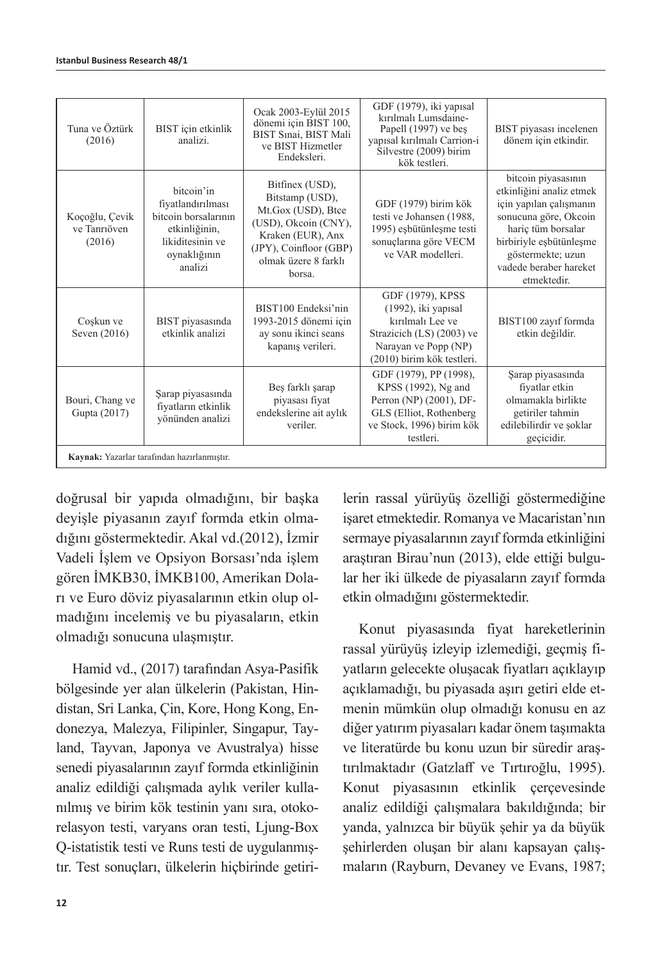| Tuna ve Öztürk<br>(2016)                    | BIST için etkinlik<br>analizi.                                                                                          | Ocak 2003-Eylül 2015<br>dönemi için BIST 100,<br>BIST Sınai, BIST Mali<br>ve BIST Hizmetler<br>Endeksleri.                                                        | GDF (1979), iki yapısal<br>kırılmalı Lumsdaine-<br>Papell (1997) ve beş<br>yapısal kırılmalı Carrion-i<br>Silvestre (2009) birim<br>kök testleri. | BIST piyasası incelenen<br>dönem için etkindir.                                                                                                                                                                    |  |
|---------------------------------------------|-------------------------------------------------------------------------------------------------------------------------|-------------------------------------------------------------------------------------------------------------------------------------------------------------------|---------------------------------------------------------------------------------------------------------------------------------------------------|--------------------------------------------------------------------------------------------------------------------------------------------------------------------------------------------------------------------|--|
| Koçoğlu, Çevik<br>ve Tanrıöven<br>(2016)    | bitcoin'in<br>fiyatlandırılması<br>bitcoin borsalarının<br>etkinliğinin,<br>likiditesinin ve<br>oynaklığının<br>analizi | Bitfinex (USD),<br>Bitstamp (USD),<br>Mt.Gox (USD), Btce<br>(USD), Okcoin (CNY),<br>Kraken (EUR), Anx<br>(JPY), Coinfloor (GBP)<br>olmak üzere 8 farklı<br>borsa. | GDF (1979) birim kök<br>testi ve Johansen (1988,<br>1995) eşbütünleşme testi<br>sonuçlarına göre VECM<br>ve VAR modelleri.                        | bitcoin piyasasının<br>etkinliğini analiz etmek<br>için yapılan çalışmanın<br>sonucuna göre, Okcoin<br>haric tüm borsalar<br>birbiriyle eşbütünleşme<br>göstermekte; uzun<br>vadede beraber hareket<br>etmektedir. |  |
| Coşkun ve<br>Seven (2016)                   | BIST piyasasında<br>etkinlik analizi                                                                                    | BIST100 Endeksi'nin<br>1993-2015 dönemi için<br>ay sonu ikinci seans<br>kapanış verileri.                                                                         | GDF (1979), KPSS<br>(1992), iki yapısal<br>kırılmalı Lee ve<br>Strazicich (LS) (2003) ve<br>Narayan ve Popp (NP)<br>(2010) birim kök testleri.    | BIST100 zayıf formda<br>etkin değildir.                                                                                                                                                                            |  |
| Bouri, Chang ve<br>Gupta (2017)             | Şarap piyasasında<br>fiyatların etkinlik<br>yönünden analizi                                                            | Beş farklı şarap<br>piyasası fiyat<br>endekslerine ait aylık<br>veriler.                                                                                          | GDF (1979), PP (1998),<br>KPSS (1992), Ng and<br>Perron (NP) (2001), DF-<br>GLS (Elliot, Rothenberg<br>ve Stock, 1996) birim kök<br>testleri.     | Şarap piyasasında<br>fiyatlar etkin<br>olmamakla birlikte<br>getiriler tahmin<br>edilebilirdir ve şoklar<br>geçicidir.                                                                                             |  |
| Kaynak: Yazarlar tarafından hazırlanmıştır. |                                                                                                                         |                                                                                                                                                                   |                                                                                                                                                   |                                                                                                                                                                                                                    |  |

doğrusal bir yapıda olmadığını, bir başka deyişle piyasanın zayıf formda etkin olmadığını göstermektedir. Akal vd.(2012), İzmir Vadeli İşlem ve Opsiyon Borsası'nda işlem gören İMKB30, İMKB100, Amerikan Doları ve Euro döviz piyasalarının etkin olup olmadığını incelemiş ve bu piyasaların, etkin olmadığı sonucuna ulaşmıştır.

Hamid vd., (2017) tarafından Asya-Pasifik bölgesinde yer alan ülkelerin (Pakistan, Hindistan, Sri Lanka, Çin, Kore, Hong Kong, Endonezya, Malezya, Filipinler, Singapur, Tayland, Tayvan, Japonya ve Avustralya) hisse senedi piyasalarının zayıf formda etkinliğinin analiz edildiği çalışmada aylık veriler kullanılmış ve birim kök testinin yanı sıra, otokorelasyon testi, varyans oran testi, Ljung-Box Q-istatistik testi ve Runs testi de uygulanmıştır. Test sonuçları, ülkelerin hiçbirinde getirilerin rassal yürüyüş özelliği göstermediğine isaret etmektedir. Romanya ve Macaristan'nın sermaye piyasalarının zayıf formda etkinliğini araştıran Birau'nun (2013), elde ettiği bulgular her iki ülkede de piyasaların zayıf formda etkin olmadığını göstermektedir.

Konut piyasasında fiyat hareketlerinin rassal yürüyüş izleyip izlemediği, geçmiş fiyatların gelecekte oluşacak fiyatları açıklayıp açıklamadığı, bu piyasada aşırı getiri elde etmenin mümkün olup olmadığı konusu en az diğer yatırım piyasaları kadar önem taşımakta ve literatürde bu konu uzun bir süredir araştırılmaktadır (Gatzlaff ve Tırtıroğlu, 1995). Konut piyasasının etkinlik çerçevesinde analiz edildiği çalışmalara bakıldığında; bir yanda, yalnızca bir büyük şehir ya da büyük şehirlerden oluşan bir alanı kapsayan çalışmaların (Rayburn, Devaney ve Evans, 1987;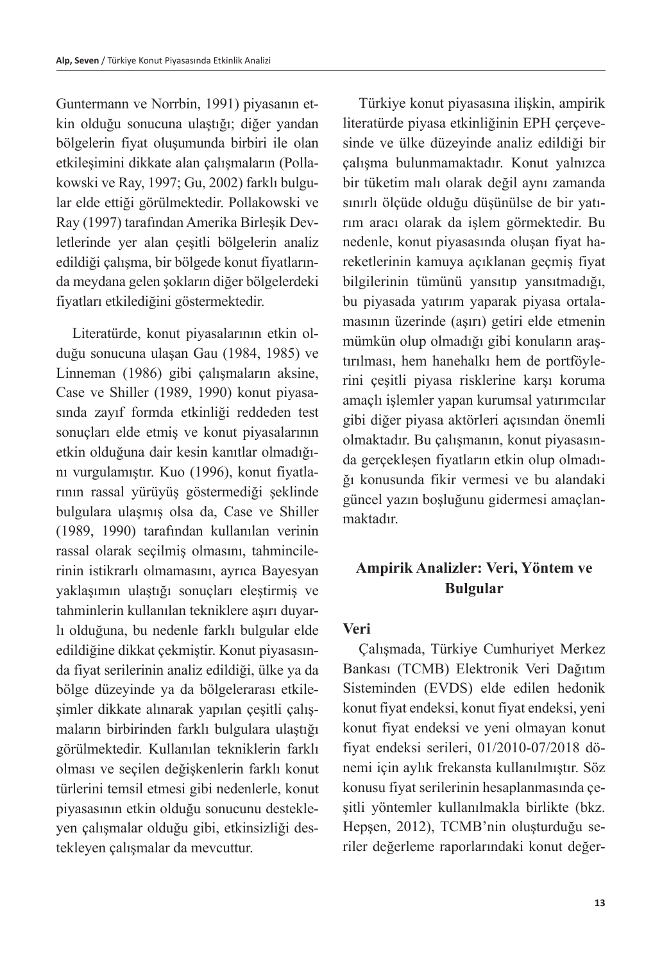Guntermann ve Norrbin, 1991) piyasanın etkin olduğu sonucuna ulaştığı; diğer yandan bölgelerin fiyat oluşumunda birbiri ile olan etkileşimini dikkate alan çalışmaların (Pollakowski ve Ray, 1997; Gu, 2002) farklı bulgular elde ettiği görülmektedir. Pollakowski ve Ray (1997) tarafından Amerika Birleşik Devletlerinde yer alan çeşitli bölgelerin analiz edildiği çalışma, bir bölgede konut fiyatlarında meydana gelen şokların diğer bölgelerdeki fiyatları etkilediğini göstermektedir.

Literatürde, konut piyasalarının etkin olduğu sonucuna ulaşan Gau (1984, 1985) ve Linneman (1986) gibi çalışmaların aksine, Case ve Shiller (1989, 1990) konut piyasasında zayıf formda etkinliği reddeden test sonuçları elde etmiş ve konut piyasalarının etkin olduğuna dair kesin kanıtlar olmadığını vurgulamıştır. Kuo (1996), konut fiyatlarının rassal yürüyüş göstermediği şeklinde bulgulara ulaşmış olsa da, Case ve Shiller (1989, 1990) tarafından kullanılan verinin rassal olarak seçilmiş olmasını, tahmincilerinin istikrarlı olmamasını, ayrıca Bayesyan yaklaşımın ulaştığı sonuçları eleştirmiş ve tahminlerin kullanılan tekniklere aşırı duyarlı olduğuna, bu nedenle farklı bulgular elde edildiğine dikkat çekmiştir. Konut piyasasında fiyat serilerinin analiz edildiği, ülke ya da bölge düzeyinde ya da bölgelerarası etkileşimler dikkate alınarak yapılan çeşitli çalışmaların birbirinden farklı bulgulara ulaştığı görülmektedir. Kullanılan tekniklerin farklı olması ve seçilen değişkenlerin farklı konut türlerini temsil etmesi gibi nedenlerle, konut piyasasının etkin olduğu sonucunu destekleyen çalışmalar olduğu gibi, etkinsizliği destekleyen çalışmalar da mevcuttur.

Türkiye konut piyasasına ilişkin, ampirik literatürde piyasa etkinliğinin EPH çerçevesinde ve ülke düzeyinde analiz edildiği bir çalışma bulunmamaktadır. Konut yalnızca bir tüketim malı olarak değil aynı zamanda sınırlı ölçüde olduğu düşünülse de bir yatırım aracı olarak da işlem görmektedir. Bu nedenle, konut piyasasında oluşan fiyat hareketlerinin kamuya açıklanan geçmiş fiyat bilgilerinin tümünü yansıtıp yansıtmadığı, bu piyasada yatırım yaparak piyasa ortalamasının üzerinde (aşırı) getiri elde etmenin mümkün olup olmadığı gibi konuların araştırılması, hem hanehalkı hem de portföylerini çeşitli piyasa risklerine karşı koruma amaçlı işlemler yapan kurumsal yatırımcılar gibi diğer piyasa aktörleri açısından önemli olmaktadır. Bu çalışmanın, konut piyasasında gerçekleşen fiyatların etkin olup olmadığı konusunda fikir vermesi ve bu alandaki güncel yazın boşluğunu gidermesi amaçlanmaktadır.

# **Ampirik Analizler: Veri, Yöntem ve Bulgular**

## **Veri**

Çalışmada, Türkiye Cumhuriyet Merkez Bankası (TCMB) Elektronik Veri Dağıtım Sisteminden (EVDS) elde edilen hedonik konut fiyat endeksi, konut fiyat endeksi, yeni konut fiyat endeksi ve yeni olmayan konut fiyat endeksi serileri, 01/2010-07/2018 dönemi için aylık frekansta kullanılmıştır. Söz konusu fiyat serilerinin hesaplanmasında çeşitli yöntemler kullanılmakla birlikte (bkz. Hepşen, 2012), TCMB'nin oluşturduğu seriler değerleme raporlarındaki konut değer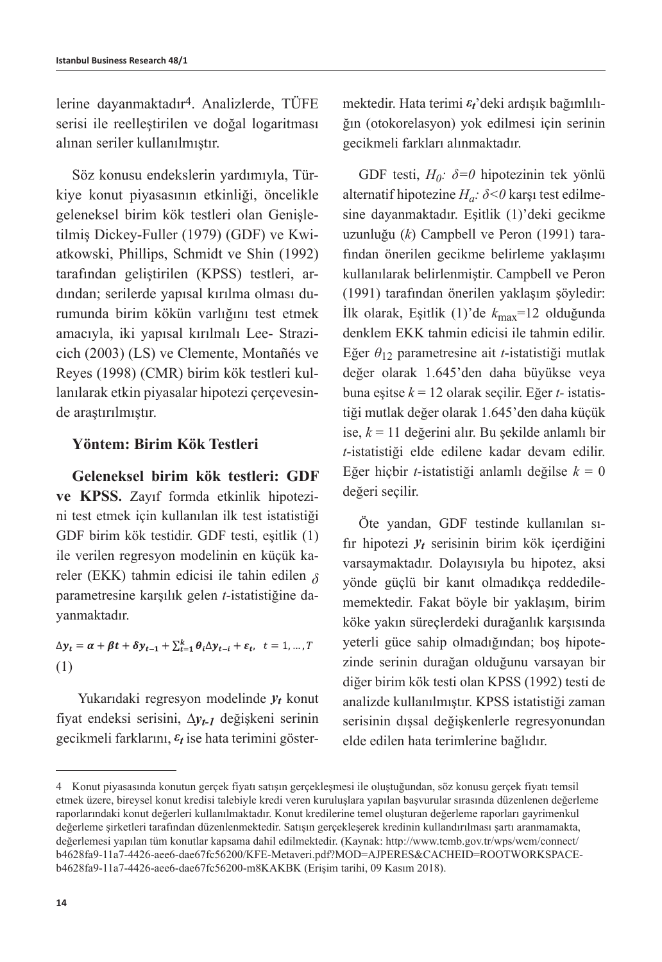lerine dayanmaktadır4. Analizlerde, TÜFE serisi ile reelleştirilen ve doğal logaritması alınan seriler kullanılmıştır.

Söz konusu endekslerin yardımıyla, Türkiye konut piyasasının etkinliği, öncelikle geleneksel birim kök testleri olan Genişletilmiş Dickey-Fuller (1979) (GDF) ve Kwiatkowski, Phillips, Schmidt ve Shin (1992) tarafından geliştirilen (KPSS) testleri, ardından; serilerde yapısal kırılma olması durumunda birim kökün varlığını test etmek amacıyla, iki yapısal kırılmalı Lee- Strazicich (2003) (LS) ve Clemente, Montañés ve Reyes (1998) (CMR) birim kök testleri kullanılarak etkin piyasalar hipotezi çerçevesinde araştırılmıştır.

## **Yöntem: Birim Kök Testleri**

**Geleneksel birim kök testleri: GDF ve KPSS.** Zayıf formda etkinlik hipotezini test etmek için kullanılan ilk test istatistiği GDF birim kök testidir. GDF testi, eşitlik (1) ile verilen regresyon modelinin en küçük kareler (EKK) tahmin edicisi ile tahin edilen *δ* parametresine karşılık gelen *t*-istatistiğine dayanmaktadır.

 $\Delta y_t = \alpha + \beta t + \delta y_{t-1} + \sum_{t=1}^k \theta_t \Delta y_{t-i} + \varepsilon_t, \quad t = 1, ..., T$ (1)

Yukarıdaki regresyon modelinde *yt* konut fiyat endeksi serisini, *∆yt-1* değişkeni serinin gecikmeli farklarını, *ε<sup>t</sup>* ise hata terimini göstermektedir. Hata terimi *εt*'deki ardışık bağımlılığın (otokorelasyon) yok edilmesi için serinin gecikmeli farkları alınmaktadır.

GDF testi, *H0: δ=0* hipotezinin tek yönlü alternatif hipotezine *Ha: δ<0* karşı test edilmesine dayanmaktadır. Eşitlik (1)'deki gecikme uzunluğu (*k*) Campbell ve Peron (1991) tarafından önerilen gecikme belirleme yaklaşımı kullanılarak belirlenmiştir. Campbell ve Peron (1991) tarafından önerilen yaklaşım şöyledir: İlk olarak, Eşitlik (1)'de *k*max=12 olduğunda denklem EKK tahmin edicisi ile tahmin edilir. Eğer *θ*12 parametresine ait *t*-istatistiği mutlak değer olarak 1.645'den daha büyükse veya buna eşitse *k* = 12 olarak seçilir. Eğer *t-* istatistiği mutlak değer olarak 1.645'den daha küçük ise, *k* = 11 değerini alır. Bu şekilde anlamlı bir *t*-istatistiği elde edilene kadar devam edilir. Eğer hiçbir *t*-istatistiği anlamlı değilse *k* = 0 değeri seçilir.

Öte yandan, GDF testinde kullanılan sıfır hipotezi *yt* serisinin birim kök içerdiğini varsaymaktadır. Dolayısıyla bu hipotez, aksi yönde güçlü bir kanıt olmadıkça reddedilememektedir. Fakat böyle bir yaklaşım, birim köke yakın süreçlerdeki durağanlık karşısında yeterli güce sahip olmadığından; boş hipotezinde serinin durağan olduğunu varsayan bir diğer birim kök testi olan KPSS (1992) testi de analizde kullanılmıştır. KPSS istatistiği zaman serisinin dışsal değişkenlerle regresyonundan elde edilen hata terimlerine bağlıdır.

<sup>4</sup> Konut piyasasında konutun gerçek fiyatı satışın gerçekleşmesi ile oluştuğundan, söz konusu gerçek fiyatı temsil etmek üzere, bireysel konut kredisi talebiyle kredi veren kuruluşlara yapılan başvurular sırasında düzenlenen değerleme raporlarındaki konut değerleri kullanılmaktadır. Konut kredilerine temel oluşturan değerleme raporları gayrimenkul değerleme şirketleri tarafından düzenlenmektedir. Satışın gerçekleşerek kredinin kullandırılması şartı aranmamakta, değerlemesi yapılan tüm konutlar kapsama dahil edilmektedir. (Kaynak: http://www.tcmb.gov.tr/wps/wcm/connect/ b4628fa9-11a7-4426-aee6-dae67fc56200/KFE-Metaveri.pdf?MOD=AJPERES&CACHEID=ROOTWORKSPACEb4628fa9-11a7-4426-aee6-dae67fc56200-m8KAKBK (Erişim tarihi, 09 Kasım 2018).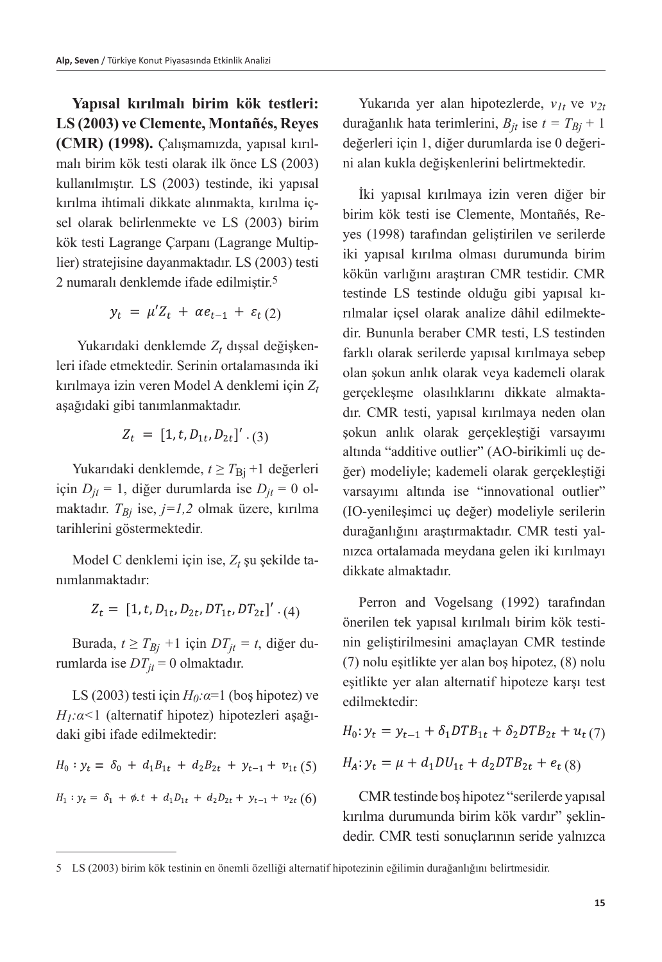**Yapısal kırılmalı birim kök testleri: LS (2003) ve Clemente, Montañés, Reyes (CMR) (1998).** Çalışmamızda, yapısal kırılmalı birim kök testi olarak ilk önce LS (2003) kullanılmıştır. LS (2003) testinde, iki yapısal kırılma ihtimali dikkate alınmakta, kırılma içsel olarak belirlenmekte ve LS (2003) birim kök testi Lagrange Çarpanı (Lagrange Multiplier) stratejisine dayanmaktadır. LS (2003) testi 2 numaralı denklemde ifade edilmiştir.5

$$
y_t = \mu' Z_t + \alpha e_{t-1} + \varepsilon_t (2)
$$

Yukarıdaki denklemde Z<sub>t</sub> dışsal değişkenleri ifade etmektedir. Serinin ortalamasında iki kırılmaya izin veren Model A denklemi için *Zt* aşağıdaki gibi tanımlanmaktadır.

$$
Z_t = [1, t, D_{1t}, D_{2t}]' . (3)
$$

Yukarıdaki denklemde,  $t \geq T_{\text{Bi}} + 1$  değerleri için  $D_{it} = 1$ , diğer durumlarda ise  $D_{it} = 0$  olmaktadır. *TBj* ise, *j=1,2* olmak üzere, kırılma tarihlerini göstermektedir*.*

Model C denklemi için ise, *Zt* şu şekilde tanımlanmaktadır:

$$
Z_t = [1, t, D_{1t}, D_{2t}, DT_{1t}, DT_{2t}]'
$$
 (4)

Burada,  $t \geq T_{Bj} + 1$  için  $DT_{jt} = t$ , diğer durumlarda ise  $DT_{it} = 0$  olmaktadır.

LS (2003) testi için  $H_0$ *: α*=1 (boş hipotez) ve *H1:α<*1 (alternatif hipotez) hipotezleri aşağıdaki gibi ifade edilmektedir:

$$
H_0: y_t = \delta_0 + d_1 B_{1t} + d_2 B_{2t} + y_{t-1} + v_{1t} (5)
$$
  

$$
H_1: y_t = \delta_1 + \phi_t t + d_1 D_{1t} + d_2 D_{2t} + y_{t-1} + v_{2t} (6)
$$

Yukarıda yer alan hipotezlerde, *v1t* ve *v2t* durağanlık hata terimlerini, *Bjt* ise *t = TBj* + 1 değerleri için 1, diğer durumlarda ise 0 değerini alan kukla değişkenlerini belirtmektedir.

İki yapısal kırılmaya izin veren diğer bir birim kök testi ise Clemente, Montañés, Reyes (1998) tarafından geliştirilen ve serilerde iki yapısal kırılma olması durumunda birim kökün varlığını araştıran CMR testidir. CMR testinde LS testinde olduğu gibi yapısal kırılmalar içsel olarak analize dâhil edilmektedir. Bununla beraber CMR testi, LS testinden farklı olarak serilerde yapısal kırılmaya sebep olan şokun anlık olarak veya kademeli olarak gerçekleşme olasılıklarını dikkate almaktadır. CMR testi, yapısal kırılmaya neden olan şokun anlık olarak gerçekleştiği varsayımı altında "additive outlier" (AO-birikimli uç değer) modeliyle; kademeli olarak gerçekleştiği varsayımı altında ise "innovational outlier" (IO-yenileşimci uç değer) modeliyle serilerin durağanlığını araştırmaktadır. CMR testi yalnızca ortalamada meydana gelen iki kırılmayı dikkate almaktadır.

Perron and Vogelsang (1992) tarafından önerilen tek yapısal kırılmalı birim kök testinin geliştirilmesini amaçlayan CMR testinde (7) nolu eşitlikte yer alan boş hipotez, (8) nolu eşitlikte yer alan alternatif hipoteze karşı test edilmektedir:

$$
H_0: y_t = y_{t-1} + \delta_1 D T B_{1t} + \delta_2 D T B_{2t} + u_t(7)
$$
  

$$
H_A: y_t = \mu + d_1 D U_{1t} + d_2 D T B_{2t} + e_t(8)
$$

CMR testinde boş hipotez "serilerde yapısal kırılma durumunda birim kök vardır" şeklindedir. CMR testi sonuçlarının seride yalnızca

<sup>5</sup> LS (2003) birim kök testinin en önemli özelliği alternatif hipotezinin eğilimin durağanlığını belirtmesidir.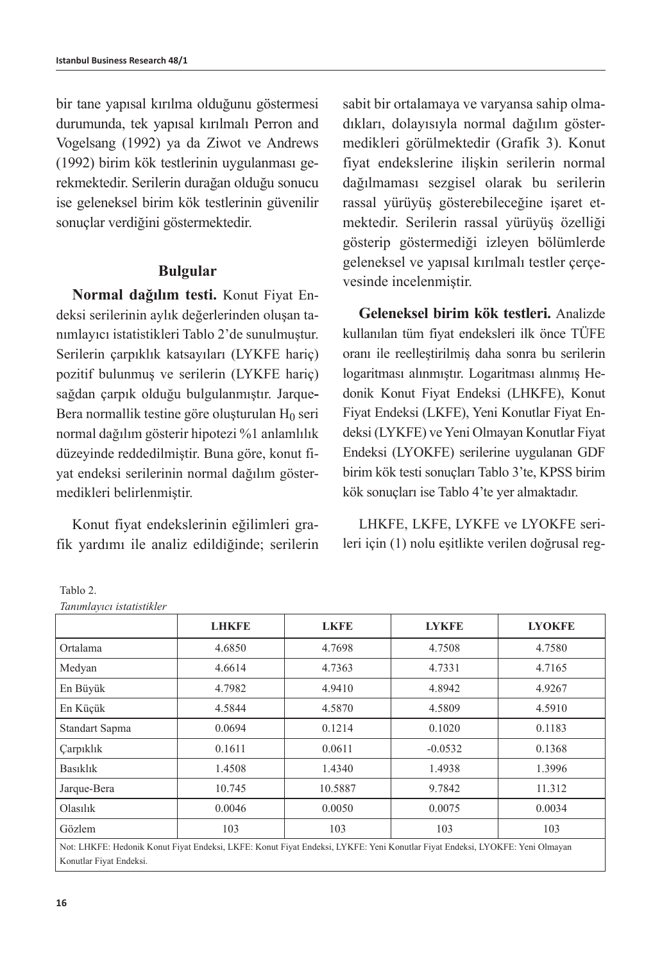bir tane yapısal kırılma olduğunu göstermesi durumunda, tek yapısal kırılmalı Perron and Vogelsang (1992) ya da Ziwot ve Andrews (1992) birim kök testlerinin uygulanması gerekmektedir. Serilerin durağan olduğu sonucu ise geleneksel birim kök testlerinin güvenilir sonuçlar verdiğini göstermektedir.

## **Bulgular**

**Normal dağılım testi.** Konut Fiyat Endeksi serilerinin aylık değerlerinden oluşan tanımlayıcı istatistikleri Tablo 2'de sunulmuştur. Serilerin çarpıklık katsayıları (LYKFE hariç) pozitif bulunmuş ve serilerin (LYKFE hariç) sağdan çarpık olduğu bulgulanmıştır. Jarque**-**Bera normallik testine göre oluşturulan  $H_0$  seri normal dağılım gösterir hipotezi %1 anlamlılık düzeyinde reddedilmiştir. Buna göre, konut fiyat endeksi serilerinin normal dağılım göstermedikleri belirlenmiştir.

Konut fiyat endekslerinin eğilimleri grafik yardımı ile analiz edildiğinde; serilerin sabit bir ortalamaya ve varyansa sahip olmadıkları, dolayısıyla normal dağılım göstermedikleri görülmektedir (Grafik 3). Konut fiyat endekslerine ilişkin serilerin normal dağılmaması sezgisel olarak bu serilerin rassal yürüyüş gösterebileceğine işaret etmektedir. Serilerin rassal yürüyüş özelliği gösterip göstermediği izleyen bölümlerde geleneksel ve yapısal kırılmalı testler çerçevesinde incelenmiştir.

**Geleneksel birim kök testleri.** Analizde kullanılan tüm fiyat endeksleri ilk önce TÜFE oranı ile reelleştirilmiş daha sonra bu serilerin logaritması alınmıştır. Logaritması alınmış Hedonik Konut Fiyat Endeksi (LHKFE), Konut Fiyat Endeksi (LKFE), Yeni Konutlar Fiyat Endeksi (LYKFE) ve Yeni Olmayan Konutlar Fiyat Endeksi (LYOKFE) serilerine uygulanan GDF birim kök testi sonuçları Tablo 3'te, KPSS birim kök sonuçları ise Tablo 4'te yer almaktadır.

LHKFE, LKFE, LYKFE ve LYOKFE serileri için (1) nolu eşitlikte verilen doğrusal reg-

| Ianımlayıcı istatistikler                                                                                                    |              |             |              |               |
|------------------------------------------------------------------------------------------------------------------------------|--------------|-------------|--------------|---------------|
|                                                                                                                              | <b>LHKFE</b> | <b>LKFE</b> | <b>LYKFE</b> | <b>LYOKFE</b> |
| Ortalama                                                                                                                     | 4.6850       | 4.7698      | 4.7508       | 4.7580        |
| Medyan                                                                                                                       | 4.6614       | 4.7363      | 4.7331       | 4.7165        |
| En Büyük                                                                                                                     | 4.7982       | 4.9410      | 4.8942       | 4.9267        |
| En Küçük                                                                                                                     | 4.5844       | 4.5870      | 4.5809       | 4.5910        |
| Standart Sapma                                                                                                               | 0.0694       | 0.1214      | 0.1020       | 0.1183        |
| <b>Çarpıklık</b>                                                                                                             | 0.1611       | 0.0611      | $-0.0532$    | 0.1368        |
| <b>Basıklık</b>                                                                                                              | 1.4508       | 1.4340      | 1.4938       | 1.3996        |
| Jarque-Bera                                                                                                                  | 10.745       | 10.5887     | 9.7842       | 11.312        |
| Olashk                                                                                                                       | 0.0046       | 0.0050      | 0.0075       | 0.0034        |
| Gözlem                                                                                                                       | 103          | 103         | 103          | 103           |
| Not: LHKFE: Hedonik Konut Fiyat Endeksi, LKFE: Konut Fiyat Endeksi, LYKFE: Yeni Konutlar Fiyat Endeksi, LYOKFE: Yeni Olmayan |              |             |              |               |
| Konutlar Fiyat Endeksi.                                                                                                      |              |             |              |               |

#### Tablo 2. *Tanımlayıcı istatistikler*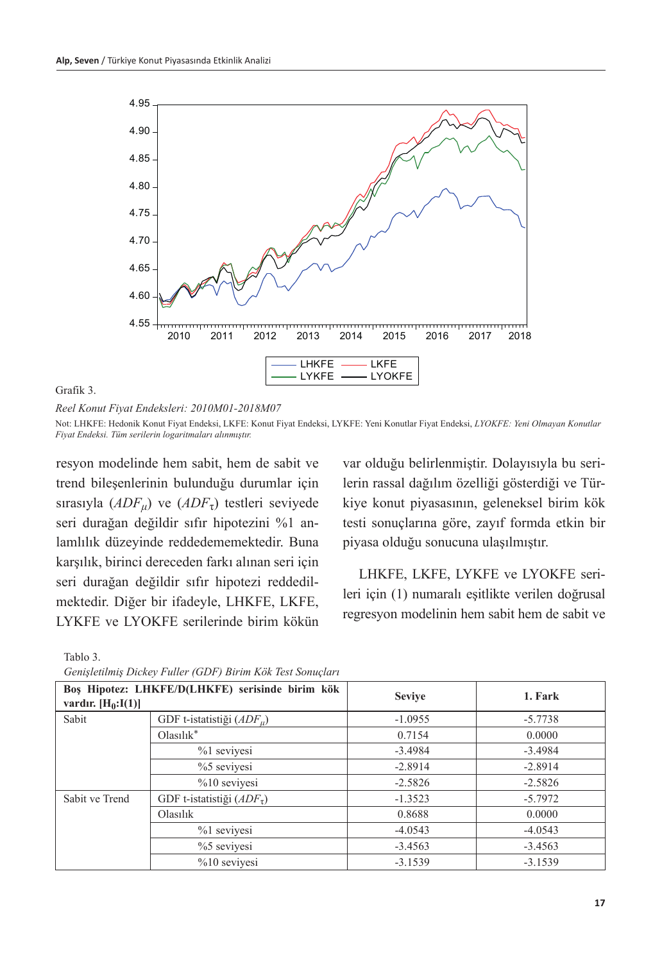

Grafik 3.

*Reel Konut Fiyat Endeksleri: 2010M01-2018M07*

Not: LHKFE: Hedonik Konut Fiyat Endeksi, LKFE: Konut Fiyat Endeksi, LYKFE: Yeni Konutlar Fiyat Endeksi, *LYOKFE: Yeni Olmayan Konutlar Fiyat Endeksi. Tüm serilerin logaritmaları alınmıştır.*

resyon modelinde hem sabit, hem de sabit ve trend bileşenlerinin bulunduğu durumlar için sırasıyla (*ADF<sub>u</sub>*) ve (*ADF<sub>τ</sub>*) testleri seviyede seri durağan değildir sıfır hipotezini %1 anlamlılık düzeyinde reddedememektedir. Buna karşılık, birinci dereceden farkı alınan seri için seri durağan değildir sıfır hipotezi reddedilmektedir. Diğer bir ifadeyle, LHKFE, LKFE, LYKFE ve LYOKFE serilerinde birim kökün var olduğu belirlenmiştir. Dolayısıyla bu serilerin rassal dağılım özelliği gösterdiği ve Türkiye konut piyasasının, geleneksel birim kök testi sonuçlarına göre, zayıf formda etkin bir piyasa olduğu sonucuna ulaşılmıştır.

LHKFE, LKFE, LYKFE ve LYOKFE serileri için (1) numaralı eşitlikte verilen doğrusal regresyon modelinin hem sabit hem de sabit ve

| I | ٠ |
|---|---|
|---|---|

| Bos Hipotez: LHKFE/D(LHKFE) serisinde birim kök<br>vardır. $[H_0:I(1)]$ |                               | <b>Seviye</b> | 1. Fark   |
|-------------------------------------------------------------------------|-------------------------------|---------------|-----------|
| Sabit                                                                   | GDF t-istatistiği $(ADE_{u})$ | $-1.0955$     | $-5.7738$ |
|                                                                         | $Olashk^*$                    | 0.7154        | 0.0000    |
|                                                                         | $%1$ sevivesi                 | $-3.4984$     | $-3.4984$ |
|                                                                         | $%5$ seviyesi                 | $-2.8914$     | $-2.8914$ |
|                                                                         | $%10$ sevivesi                | $-2.5826$     | $-2.5826$ |
| Sabit ve Trend                                                          | GDF t-istatistiği $(ADF7)$    | $-1.3523$     | $-5.7972$ |
|                                                                         | Olashk                        | 0.8688        | 0.0000    |
|                                                                         | %1 sevivesi                   | $-4.0543$     | $-4.0543$ |
|                                                                         | $%5$ seviyesi                 | $-3.4563$     | $-3.4563$ |
|                                                                         | $%10$ sevivesi                | $-3.1539$     | $-3.1539$ |

*Genişletilmiş Dickey Fuller (GDF) Birim Kök Test Sonuçları*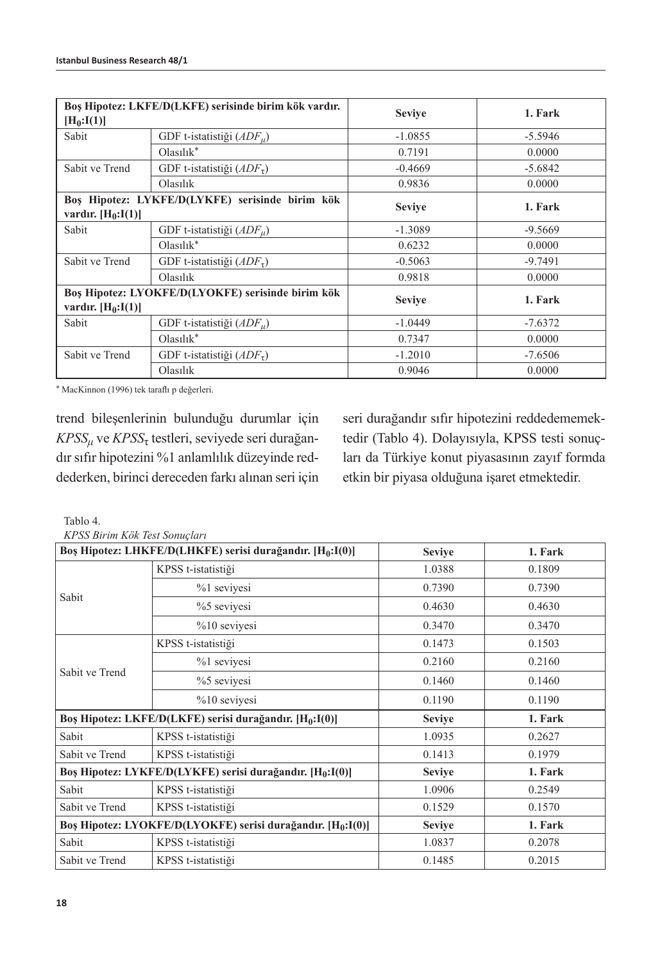| Bos Hipotez: LKFE/D(LKFE) serisinde birim kök vardır.<br>$[H_0: I(1)]$    |                                  | <b>Seviye</b> | 1. Fark   |
|---------------------------------------------------------------------------|----------------------------------|---------------|-----------|
| Sabit                                                                     | GDF t-istatistiği $(ADE_{u})$    | $-1.0855$     | $-5.5946$ |
|                                                                           | $Olashk^*$                       | 0.7191        | 0.0000    |
| Sabit ve Trend                                                            | GDF t-istatistiği $(ADF_{\tau})$ | $-0.4669$     | $-5.6842$ |
|                                                                           | Olasılık                         | 0.9836        | 0.0000    |
| Bos Hipotez: LYKFE/D(LYKFE) serisinde birim kök<br>vardır. $[H_0:I(1)]$   |                                  | <b>Seviye</b> | 1. Fark   |
| Sabit                                                                     | GDF t-istatistiği $(ADE_{u})$    | $-1.3089$     | $-9.5669$ |
|                                                                           | $Olashk^*$                       | 0.6232        | 0.0000    |
| Sabit ve Trend                                                            | GDF t-istatistiği $(ADFz)$       | $-0.5063$     | $-9.7491$ |
|                                                                           | Olashk                           | 0.9818        | 0.0000    |
| Bos Hipotez: LYOKFE/D(LYOKFE) serisinde birim kök<br>vardır. $[H_0:I(1)]$ |                                  | <b>Seviye</b> | 1. Fark   |
| Sabit                                                                     | GDF t-istatistiği $(ADE_{u})$    | $-1.0449$     | $-7.6372$ |
|                                                                           | $Olashk^*$                       | 0.7347        | 0.0000    |
| Sabit ve Trend                                                            | GDF t-istatistiği $(ADFz)$       | $-1.2010$     | $-7.6506$ |
|                                                                           | Olasılık                         | 0.9046        | 0.0000    |

\* MacKinnon (1996) tek taraflı p değerleri.

trend bileşenlerinin bulunduğu durumlar için *KPSSμ* ve *KPSS*τ testleri, seviyede seri durağandır sıfır hipotezini %1 anlamlılık düzeyinde reddederken, birinci dereceden farkı alınan seri için seri durağandır sıfır hipotezini reddedememektedir (Tablo 4). Dolayısıyla, KPSS testi sonuçları da Türkiye konut piyasasının zayıf formda etkin bir piyasa olduğuna işaret etmektedir.

Tablo 4.

*KPSS Birim Kök Test Sonuçları*

| Boş Hipotez: LHKFE/D(LHKFE) serisi durağandır. [H <sub>0</sub> :I(0)]   |                                                                       | <b>Seviye</b> | 1. Fark |
|-------------------------------------------------------------------------|-----------------------------------------------------------------------|---------------|---------|
|                                                                         | KPSS t-istatistiği                                                    | 1.0388        | 0.1809  |
|                                                                         | %1 sevivesi                                                           | 0.7390        | 0.7390  |
| Sabit                                                                   | $%5$ sevivesi                                                         | 0.4630        | 0.4630  |
|                                                                         | $%10$ seviyesi                                                        | 0.3470        | 0.3470  |
|                                                                         | KPSS t-istatistiği                                                    | 0.1473        | 0.1503  |
|                                                                         | %1 sevivesi                                                           | 0.2160        | 0.2160  |
| Sabit ve Trend                                                          | $%5$ seviyesi                                                         | 0.1460        | 0.1460  |
|                                                                         | $%10$ seviyesi                                                        | 0.1190        | 0.1190  |
| Boş Hipotez: LKFE/D(LKFE) serisi durağandır. [H <sub>0</sub> :I(0)]     |                                                                       | <b>Seviye</b> | 1. Fark |
| Sabit                                                                   | KPSS t-istatistiği                                                    | 1.0935        | 0.2627  |
| Sabit ve Trend                                                          | KPSS t-istatistiği                                                    | 0.1413        | 0.1979  |
|                                                                         | Boş Hipotez: LYKFE/D(LYKFE) serisi durağandır. [H <sub>0</sub> :I(0)] | <b>Seviye</b> | 1. Fark |
| Sabit                                                                   | KPSS t-istatistiği                                                    | 1.0906        | 0.2549  |
| Sabit ve Trend                                                          | KPSS t-istatistiği                                                    | 0.1529        | 0.1570  |
| Boș Hipotez: LYOKFE/D(LYOKFE) serisi durağandır. [H <sub>0</sub> :I(0)] |                                                                       | <b>Seviye</b> | 1. Fark |
| Sabit                                                                   | KPSS t-istatistiği                                                    | 1.0837        | 0.2078  |
| Sabit ve Trend                                                          | KPSS t-istatistiği                                                    | 0.1485        | 0.2015  |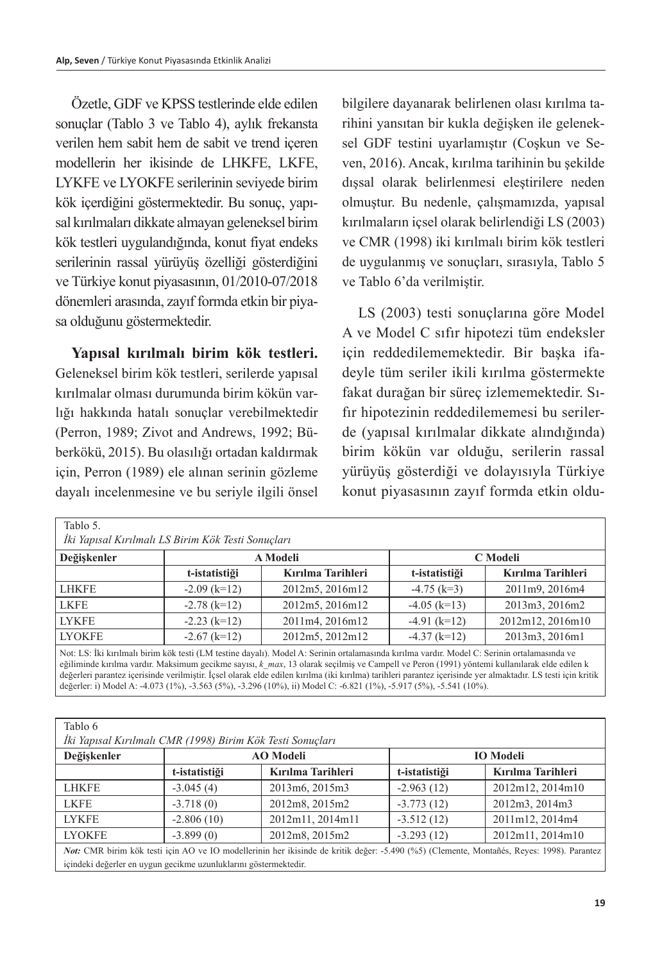Özetle, GDF ve KPSS testlerinde elde edilen sonuçlar (Tablo 3 ve Tablo 4), aylık frekansta verilen hem sabit hem de sabit ve trend içeren modellerin her ikisinde de LHKFE, LKFE, LYKFE ve LYOKFE serilerinin seviyede birim kök içerdiğini göstermektedir. Bu sonuç, yapısal kırılmaları dikkate almayan geleneksel birim kök testleri uygulandığında, konut fiyat endeks serilerinin rassal yürüyüş özelliği gösterdiğini ve Türkiye konut piyasasının, 01/2010-07/2018 dönemleri arasında, zayıf formda etkin bir piyasa olduğunu göstermektedir.

**Yapısal kırılmalı birim kök testleri.**  Geleneksel birim kök testleri, serilerde yapısal kırılmalar olması durumunda birim kökün varlığı hakkında hatalı sonuçlar verebilmektedir (Perron, 1989; Zivot and Andrews, 1992; Büberkökü, 2015). Bu olasılığı ortadan kaldırmak için, Perron (1989) ele alınan serinin gözleme dayalı incelenmesine ve bu seriyle ilgili önsel bilgilere dayanarak belirlenen olası kırılma tarihini yansıtan bir kukla değişken ile geleneksel GDF testini uyarlamıştır (Coşkun ve Seven, 2016). Ancak, kırılma tarihinin bu şekilde dışsal olarak belirlenmesi eleştirilere neden olmuştur. Bu nedenle, çalışmamızda, yapısal kırılmaların içsel olarak belirlendiği LS (2003) ve CMR (1998) iki kırılmalı birim kök testleri de uygulanmış ve sonuçları, sırasıyla, Tablo 5 ve Tablo 6'da verilmiştir.

LS (2003) testi sonuçlarına göre Model A ve Model C sıfır hipotezi tüm endeksler için reddedilememektedir. Bir başka ifadeyle tüm seriler ikili kırılma göstermekte fakat durağan bir süreç izlememektedir. Sıfır hipotezinin reddedilememesi bu serilerde (yapısal kırılmalar dikkate alındığında) birim kökün var olduğu, serilerin rassal yürüyüş gösterdiği ve dolayısıyla Türkiye konut piyasasının zayıf formda etkin oldu-

| Tablo 5.                                                                                                                                     |                      |                   |                |                   |  |  |
|----------------------------------------------------------------------------------------------------------------------------------------------|----------------------|-------------------|----------------|-------------------|--|--|
| İki Yapısal Kırılmalı LS Birim Kök Testi Sonuçları                                                                                           |                      |                   |                |                   |  |  |
| Değişkenler                                                                                                                                  | A Modeli<br>C Modeli |                   |                |                   |  |  |
|                                                                                                                                              | t-istatistiği        | Kırılma Tarihleri | t-istatistiği  | Kırılma Tarihleri |  |  |
| <b>LHKFE</b>                                                                                                                                 | $-2.09$ (k=12)       | 2012m5, 2016m12   | $-4.75$ (k=3)  | 2011m9, 2016m4    |  |  |
| <b>LKFE</b>                                                                                                                                  | $-2.78$ (k=12)       | 2012m5, 2016m12   | $-4.05$ (k=13) | 2013m3, 2016m2    |  |  |
| <b>LYKFE</b>                                                                                                                                 | $-2.23$ (k=12)       | 2011m4, 2016m12   | $-4.91$ (k=12) | 2012m12, 2016m10  |  |  |
| <b>LYOKFE</b>                                                                                                                                | $-2.67$ (k=12)       | 2012m5, 2012m12   | $-4.37$ (k=12) | 2013m3, 2016m1    |  |  |
| Not: LS: İki kırılmalı birim kök testi (LM testine dayalı). Model A: Serinin ortalamasında kırılma vardır. Model C: Serinin ortalamasında ve |                      |                   |                |                   |  |  |

eğiliminde kırılma vardır. Maksimum gecikme sayısı, *k max*, 13 olarak seçilmiş ve Campell ve Peron (1991) yöntemi kullanılarak elde edilen k değerleri parantez içerisinde verilmiştir. İçsel olarak elde edilen kırılma (iki kırılma) tarihleri parantez içerisinde yer almaktadır. LS testi için kritik değerler: i) Model A: -4.073 (1%), -3.563 (5%), -3.296 (10%), ii) Model C: -6.821 (1%), -5.917 (5%), -5.541 (10%).

Tablo 6

| İki Yapısal Kırılmalı CMR (1998) Birim Kök Testi Sonuçları |  |  |  |  |
|------------------------------------------------------------|--|--|--|--|
|                                                            |  |  |  |  |

| $\sim$                                                                                                                                    |               |                   |               |                   |  |
|-------------------------------------------------------------------------------------------------------------------------------------------|---------------|-------------------|---------------|-------------------|--|
| Değişkenler                                                                                                                               |               | <b>AO</b> Modeli  |               | <b>IO</b> Modeli  |  |
|                                                                                                                                           | t-istatistiği | Kırılma Tarihleri | t-istatistiği | Kırılma Tarihleri |  |
| <b>LHKFE</b>                                                                                                                              | $-3.045(4)$   | 2013m6, 2015m3    | $-2.963(12)$  | 2012m12, 2014m10  |  |
| <b>LKFE</b>                                                                                                                               | $-3.718(0)$   | 2012m8, 2015m2    | $-3.773(12)$  | 2012m3, 2014m3    |  |
| <b>LYKFE</b>                                                                                                                              | $-2.806(10)$  | 2012m11, 2014m11  | $-3.512(12)$  | 2011m12, 2014m4   |  |
| <b>LYOKFE</b>                                                                                                                             | $-3.899(0)$   | 2012m8, 2015m2    | $-3.293(12)$  | 2012m11, 2014m10  |  |
| Not: CMR birim kök testi için AO ve IO modellerinin her ikisinde de kritik değer: -5.490 (%5) (Clemente, Montañés, Reyes: 1998). Parantez |               |                   |               |                   |  |
| içindeki değerler en uygun gecikme uzunluklarını göstermektedir.                                                                          |               |                   |               |                   |  |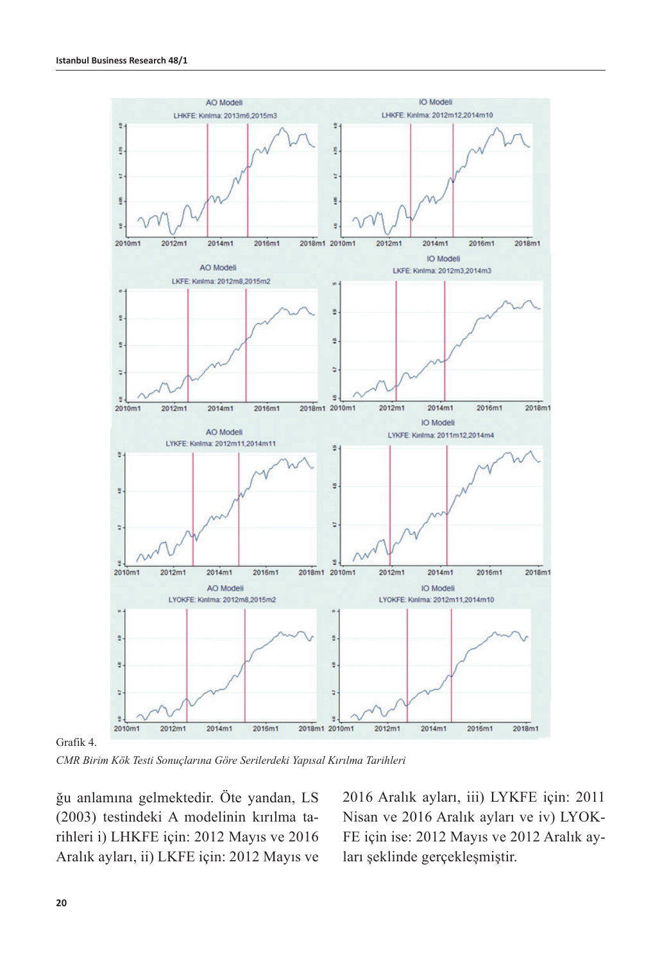

Grafik 4.

*CMR Birim Kök Testi Sonuçlarına Göre Serilerdeki Yapısal Kırılma Tarihleri*

ğu anlamına gelmektedir. Öte yandan, LS (2003) testindeki A modelinin kırılma tarihleri i) LHKFE için: 2012 Mayıs ve 2016 Aralık ayları, ii) LKFE için: 2012 Mayıs ve

2016 Aralık ayları, iii) LYKFE için: 2011 Nisan ve 2016 Aralık ayları ve iv) LYOK-FE için ise: 2012 Mayıs ve 2012 Aralık ayları şeklinde gerçekleşmiştir.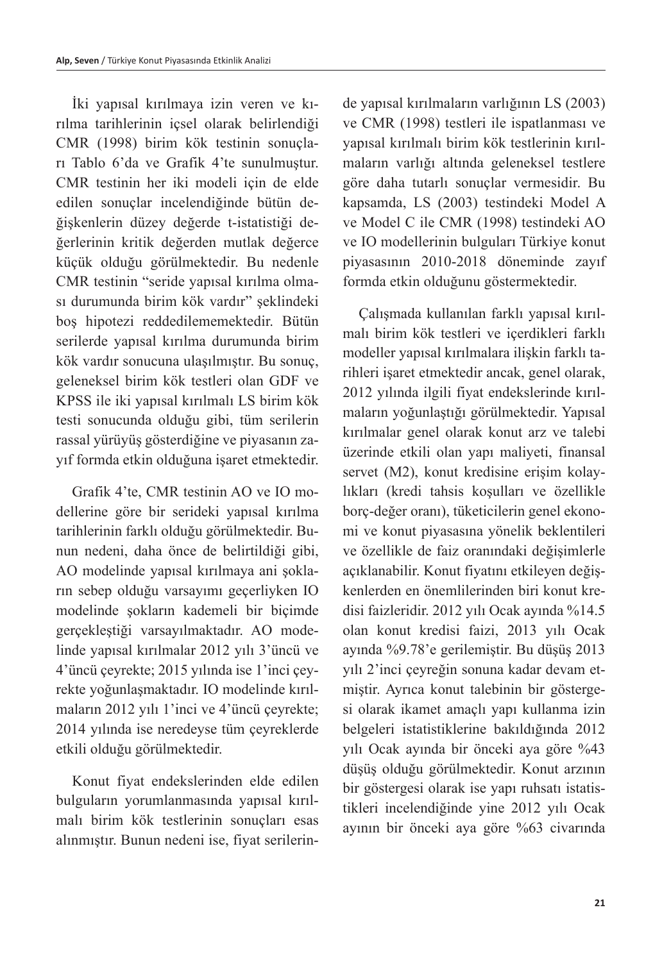İki yapısal kırılmaya izin veren ve kırılma tarihlerinin içsel olarak belirlendiği CMR (1998) birim kök testinin sonuçları Tablo 6'da ve Grafik 4'te sunulmuştur. CMR testinin her iki modeli için de elde edilen sonuçlar incelendiğinde bütün değişkenlerin düzey değerde t-istatistiği değerlerinin kritik değerden mutlak değerce küçük olduğu görülmektedir. Bu nedenle CMR testinin "seride yapısal kırılma olması durumunda birim kök vardır" şeklindeki boş hipotezi reddedilememektedir. Bütün serilerde yapısal kırılma durumunda birim kök vardır sonucuna ulaşılmıştır. Bu sonuç, geleneksel birim kök testleri olan GDF ve KPSS ile iki yapısal kırılmalı LS birim kök testi sonucunda olduğu gibi, tüm serilerin rassal yürüyüş gösterdiğine ve piyasanın zayıf formda etkin olduğuna işaret etmektedir.

Grafik 4'te, CMR testinin AO ve IO modellerine göre bir serideki yapısal kırılma tarihlerinin farklı olduğu görülmektedir. Bunun nedeni, daha önce de belirtildiği gibi, AO modelinde yapısal kırılmaya ani şokların sebep olduğu varsayımı geçerliyken IO modelinde şokların kademeli bir biçimde gerçekleştiği varsayılmaktadır. AO modelinde yapısal kırılmalar 2012 yılı 3'üncü ve 4'üncü çeyrekte; 2015 yılında ise 1'inci çeyrekte yoğunlaşmaktadır. IO modelinde kırılmaların 2012 yılı 1'inci ve 4'üncü çeyrekte; 2014 yılında ise neredeyse tüm çeyreklerde etkili olduğu görülmektedir.

Konut fiyat endekslerinden elde edilen bulguların yorumlanmasında yapısal kırılmalı birim kök testlerinin sonuçları esas alınmıştır. Bunun nedeni ise, fiyat serilerinde yapısal kırılmaların varlığının LS (2003) ve CMR (1998) testleri ile ispatlanması ve yapısal kırılmalı birim kök testlerinin kırılmaların varlığı altında geleneksel testlere göre daha tutarlı sonuçlar vermesidir. Bu kapsamda, LS (2003) testindeki Model A ve Model C ile CMR (1998) testindeki AO ve IO modellerinin bulguları Türkiye konut piyasasının 2010-2018 döneminde zayıf formda etkin olduğunu göstermektedir.

Çalışmada kullanılan farklı yapısal kırılmalı birim kök testleri ve içerdikleri farklı modeller yapısal kırılmalara ilişkin farklı tarihleri işaret etmektedir ancak, genel olarak, 2012 yılında ilgili fiyat endekslerinde kırılmaların yoğunlaştığı görülmektedir. Yapısal kırılmalar genel olarak konut arz ve talebi üzerinde etkili olan yapı maliyeti, finansal servet (M2), konut kredisine erişim kolaylıkları (kredi tahsis koşulları ve özellikle borç-değer oranı), tüketicilerin genel ekonomi ve konut piyasasına yönelik beklentileri ve özellikle de faiz oranındaki değişimlerle açıklanabilir. Konut fiyatını etkileyen değişkenlerden en önemlilerinden biri konut kredisi faizleridir. 2012 yılı Ocak ayında %14.5 olan konut kredisi faizi, 2013 yılı Ocak ayında %9.78'e gerilemiştir. Bu düşüş 2013 yılı 2'inci çeyreğin sonuna kadar devam etmiştir. Ayrıca konut talebinin bir göstergesi olarak ikamet amaçlı yapı kullanma izin belgeleri istatistiklerine bakıldığında 2012 yılı Ocak ayında bir önceki aya göre %43 düşüş olduğu görülmektedir. Konut arzının bir göstergesi olarak ise yapı ruhsatı istatistikleri incelendiğinde yine 2012 yılı Ocak ayının bir önceki aya göre %63 civarında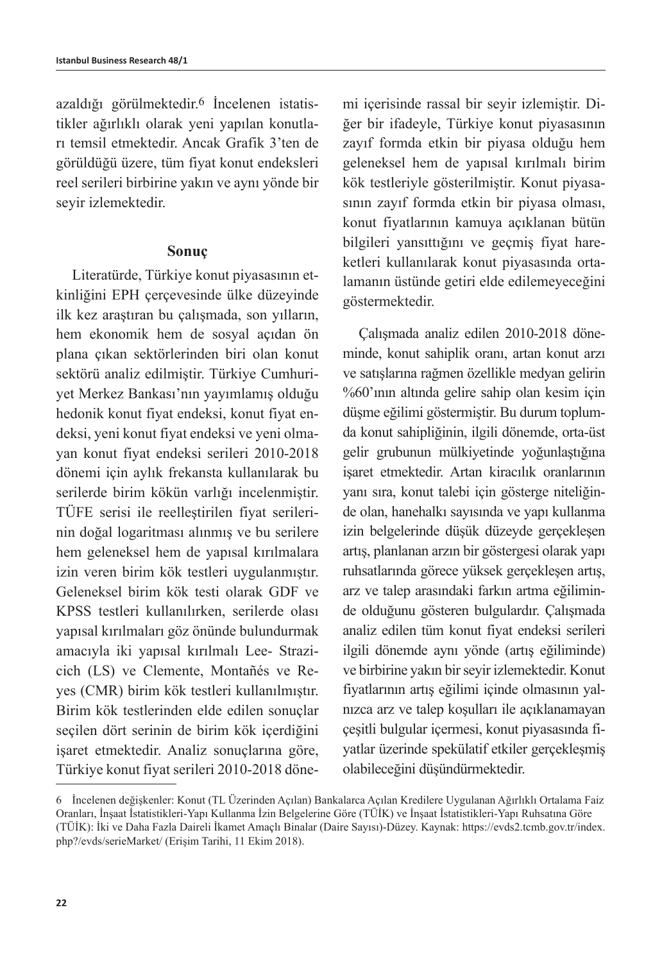azaldığı görülmektedir.6 İncelenen istatistikler ağırlıklı olarak yeni yapılan konutları temsil etmektedir. Ancak Grafik 3'ten de görüldüğü üzere, tüm fiyat konut endeksleri reel serileri birbirine yakın ve aynı yönde bir seyir izlemektedir.

#### **Sonuç**

Literatürde, Türkiye konut piyasasının etkinliğini EPH çerçevesinde ülke düzeyinde ilk kez araştıran bu çalışmada, son yılların, hem ekonomik hem de sosyal açıdan ön plana çıkan sektörlerinden biri olan konut sektörü analiz edilmiştir. Türkiye Cumhuriyet Merkez Bankası'nın yayımlamış olduğu hedonik konut fiyat endeksi, konut fiyat endeksi, yeni konut fiyat endeksi ve yeni olmayan konut fiyat endeksi serileri 2010-2018 dönemi için aylık frekansta kullanılarak bu serilerde birim kökün varlığı incelenmiştir. TÜFE serisi ile reelleştirilen fiyat serilerinin doğal logaritması alınmış ve bu serilere hem geleneksel hem de yapısal kırılmalara izin veren birim kök testleri uygulanmıştır. Geleneksel birim kök testi olarak GDF ve KPSS testleri kullanılırken, serilerde olası yapısal kırılmaları göz önünde bulundurmak amacıyla iki yapısal kırılmalı Lee- Strazicich (LS) ve Clemente, Montañés ve Reyes (CMR) birim kök testleri kullanılmıştır. Birim kök testlerinden elde edilen sonuçlar seçilen dört serinin de birim kök içerdiğini işaret etmektedir. Analiz sonuçlarına göre, Türkiye konut fiyat serileri 2010-2018 dönemi içerisinde rassal bir seyir izlemiştir. Diğer bir ifadeyle, Türkiye konut piyasasının zayıf formda etkin bir piyasa olduğu hem geleneksel hem de yapısal kırılmalı birim kök testleriyle gösterilmiştir. Konut piyasasının zayıf formda etkin bir piyasa olması, konut fiyatlarının kamuya açıklanan bütün bilgileri yansıttığını ve geçmiş fiyat hareketleri kullanılarak konut piyasasında ortalamanın üstünde getiri elde edilemeyeceğini göstermektedir.

Çalışmada analiz edilen 2010-2018 döneminde, konut sahiplik oranı, artan konut arzı ve satışlarına rağmen özellikle medyan gelirin %60'ının altında gelire sahip olan kesim için düşme eğilimi göstermiştir. Bu durum toplumda konut sahipliğinin, ilgili dönemde, orta-üst gelir grubunun mülkiyetinde yoğunlaştığına işaret etmektedir. Artan kiracılık oranlarının yanı sıra, konut talebi için gösterge niteliğinde olan, hanehalkı sayısında ve yapı kullanma izin belgelerinde düşük düzeyde gerçekleşen artış, planlanan arzın bir göstergesi olarak yapı ruhsatlarında görece yüksek gerçekleşen artış, arz ve talep arasındaki farkın artma eğiliminde olduğunu gösteren bulgulardır. Çalışmada analiz edilen tüm konut fiyat endeksi serileri ilgili dönemde aynı yönde (artış eğiliminde) ve birbirine yakın bir seyir izlemektedir. Konut fiyatlarının artış eğilimi içinde olmasının yalnızca arz ve talep koşulları ile açıklanamayan çeşitli bulgular içermesi, konut piyasasında fiyatlar üzerinde spekülatif etkiler gerçekleşmiş olabileceğini düşündürmektedir.

<sup>6</sup> İncelenen değişkenler: Konut (TL Üzerinden Açılan) Bankalarca Açılan Kredilere Uygulanan Ağırlıklı Ortalama Faiz Oranları, İnşaat İstatistikleri-Yapı Kullanma İzin Belgelerine Göre (TÜİK) ve İnşaat İstatistikleri-Yapı Ruhsatına Göre (TÜİK): İki ve Daha Fazla Daireli İkamet Amaçlı Binalar (Daire Sayısı)-Düzey. Kaynak: https://evds2.tcmb.gov.tr/index. php?/evds/serieMarket/ (Erişim Tarihi, 11 Ekim 2018).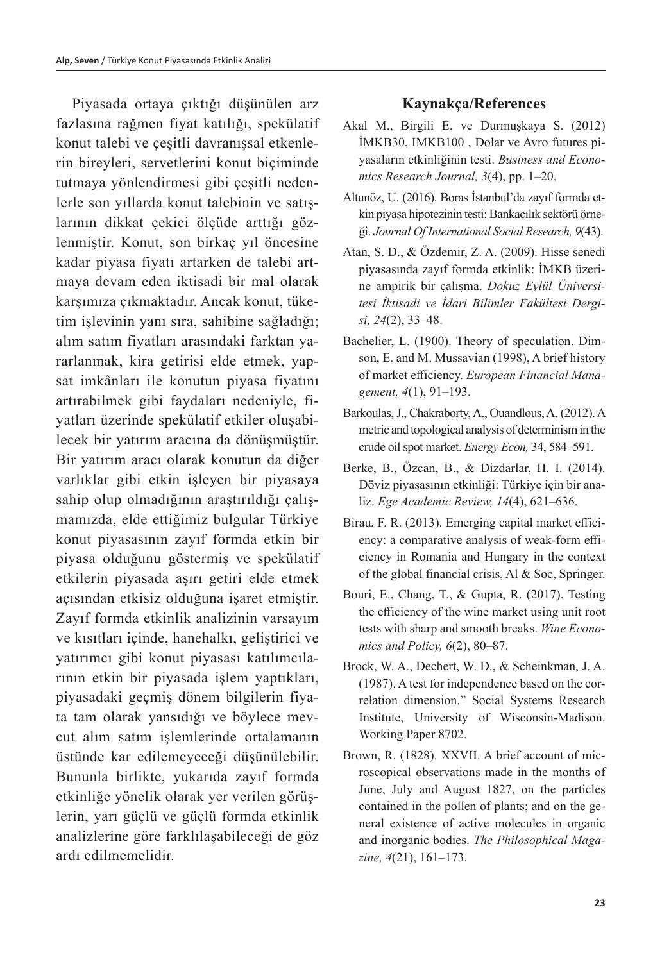Piyasada ortaya çıktığı düşünülen arz fazlasına rağmen fiyat katılığı, spekülatif konut talebi ve çeşitli davranışsal etkenlerin bireyleri, servetlerini konut biçiminde tutmaya yönlendirmesi gibi çeşitli nedenlerle son yıllarda konut talebinin ve satışlarının dikkat çekici ölçüde arttığı gözlenmiştir. Konut, son birkaç yıl öncesine kadar piyasa fiyatı artarken de talebi artmaya devam eden iktisadi bir mal olarak karşımıza çıkmaktadır. Ancak konut, tüketim işlevinin yanı sıra, sahibine sağladığı; alım satım fiyatları arasındaki farktan yararlanmak, kira getirisi elde etmek, yapsat imkânları ile konutun piyasa fiyatını artırabilmek gibi faydaları nedeniyle, fiyatları üzerinde spekülatif etkiler oluşabilecek bir yatırım aracına da dönüşmüştür. Bir yatırım aracı olarak konutun da diğer varlıklar gibi etkin işleyen bir piyasaya sahip olup olmadığının araştırıldığı çalışmamızda, elde ettiğimiz bulgular Türkiye konut piyasasının zayıf formda etkin bir piyasa olduğunu göstermiş ve spekülatif etkilerin piyasada aşırı getiri elde etmek açısından etkisiz olduğuna işaret etmiştir. Zayıf formda etkinlik analizinin varsayım ve kısıtları içinde, hanehalkı, geliştirici ve yatırımcı gibi konut piyasası katılımcılarının etkin bir piyasada işlem yaptıkları, piyasadaki geçmiş dönem bilgilerin fiyata tam olarak yansıdığı ve böylece mevcut alım satım işlemlerinde ortalamanın üstünde kar edilemeyeceği düşünülebilir. Bununla birlikte, yukarıda zayıf formda etkinliğe yönelik olarak yer verilen görüşlerin, yarı güçlü ve güçlü formda etkinlik analizlerine göre farklılaşabileceği de göz ardı edilmemelidir.

## **Kaynakça/References**

- Akal M., Birgili E. ve Durmuşkaya S. (2012) İMKB30, IMKB100 , Dolar ve Avro futures piyasaların etkinliğinin testi. *Business and Economics Research Journal, 3*(4), pp. 1–20.
- Altunöz, U. (2016). Boras İstanbul'da zayıf formda etkin piyasa hipotezinin testi: Bankacılık sektörü örneği. *Journal Of International Social Research, 9*(43).
- Atan, S. D., & Özdemir, Z. A. (2009). Hisse senedi piyasasında zayıf formda etkinlik: İMKB üzerine ampirik bir çalışma. *Dokuz Eylül Üniversitesi İktisadi ve İdari Bilimler Fakültesi Dergisi, 24*(2), 33–48.
- Bachelier, L. (1900). Theory of speculation. Dimson, E. and M. Mussavian (1998), A brief history of market efficiency. *European Financial Management, 4*(1), 91–193.
- Barkoulas, J., Chakraborty, A., Ouandlous, A. (2012). A metric and topological analysis of determinism in the crude oil spot market. *Energy Econ,* 34, 584–591.
- Berke, B., Özcan, B., & Dizdarlar, H. I. (2014). Döviz piyasasının etkinliği: Türkiye için bir analiz. *Ege Academic Review, 14*(4), 621–636.
- Birau, F. R. (2013). Emerging capital market efficiency: a comparative analysis of weak-form efficiency in Romania and Hungary in the context of the global financial crisis, Al & Soc, Springer.
- Bouri, E., Chang, T., & Gupta, R. (2017). Testing the efficiency of the wine market using unit root tests with sharp and smooth breaks. *Wine Economics and Policy, 6*(2), 80–87.
- Brock, W. A., Dechert, W. D., & Scheinkman, J. A. (1987). A test for independence based on the correlation dimension." Social Systems Research Institute, University of Wisconsin-Madison. Working Paper 8702.
- Brown, R. (1828). XXVII. A brief account of microscopical observations made in the months of June, July and August 1827, on the particles contained in the pollen of plants; and on the general existence of active molecules in organic and inorganic bodies. *The Philosophical Magazine, 4*(21), 161–173.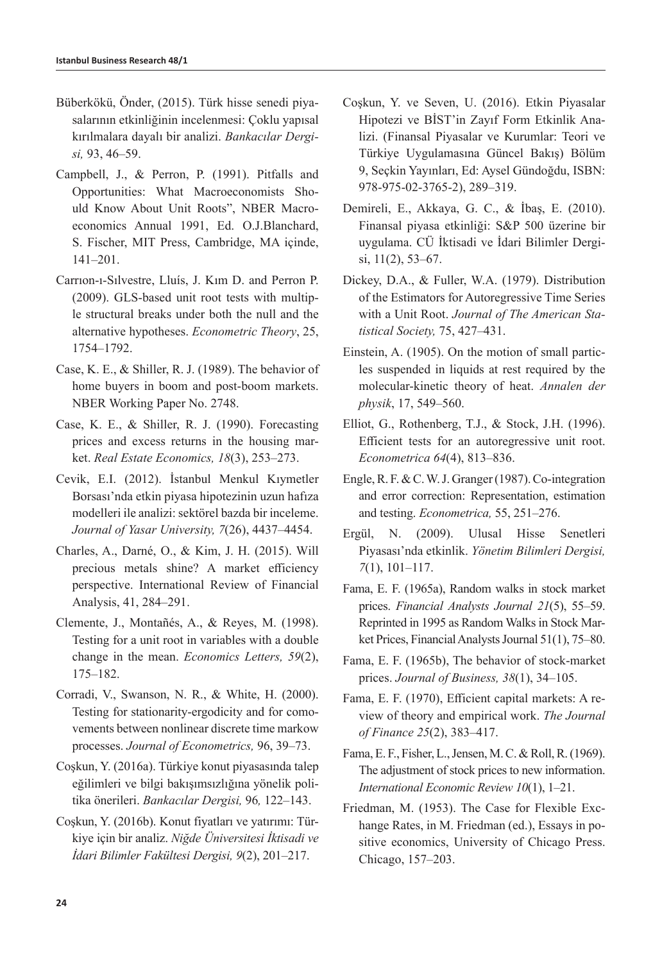- Büberkökü, Önder, (2015). Türk hisse senedi piyasalarının etkinliğinin incelenmesi: Çoklu yapısal kırılmalara dayalı bir analizi. *Bankacılar Dergisi,* 93, 46–59.
- Campbell, J., & Perron, P. (1991). Pitfalls and Opportunities: What Macroeconomists Should Know About Unit Roots", NBER Macroeconomics Annual 1991, Ed. O.J.Blanchard, S. Fischer, MIT Press, Cambridge, MA içinde, 141–201.
- Carrıon-ı-Sılvestre, Lluís, J. Kım D. and Perron P. (2009). GLS-based unit root tests with multiple structural breaks under both the null and the alternative hypotheses. *Econometric Theory*, 25, 1754–1792.
- Case, K. E., & Shiller, R. J. (1989). The behavior of home buyers in boom and post-boom markets. NBER Working Paper No. 2748.
- Case, K. E., & Shiller, R. J. (1990). Forecasting prices and excess returns in the housing market. *Real Estate Economics, 18*(3), 253–273.
- Cevik, E.I. (2012). İstanbul Menkul Kıymetler Borsası'nda etkin piyasa hipotezinin uzun hafıza modelleri ile analizi: sektörel bazda bir inceleme. *Journal of Yasar University, 7*(26), 4437–4454.
- Charles, A., Darné, O., & Kim, J. H. (2015). Will precious metals shine? A market efficiency perspective. International Review of Financial Analysis, 41, 284–291.
- Clemente, J., Montañés, A., & Reyes, M. (1998). Testing for a unit root in variables with a double change in the mean. *Economics Letters, 59*(2), 175–182.
- Corradi, V., Swanson, N. R., & White, H. (2000). Testing for stationarity-ergodicity and for comovements between nonlinear discrete time markow processes. *Journal of Econometrics,* 96, 39–73.
- Coşkun, Y. (2016a). Türkiye konut piyasasında talep eğilimleri ve bilgi bakışımsızlığına yönelik politika önerileri. *Bankacılar Dergisi,* 96*,* 122–143.
- Coşkun, Y. (2016b). Konut fiyatları ve yatırımı: Türkiye için bir analiz. *Niğde Üniversitesi İktisadi ve İdari Bilimler Fakültesi Dergisi, 9*(2), 201–217.
- Coşkun, Y. ve Seven, U. (2016). Etkin Piyasalar Hipotezi ve BİST'in Zayıf Form Etkinlik Analizi. (Finansal Piyasalar ve Kurumlar: Teori ve Türkiye Uygulamasına Güncel Bakış) Bölüm 9, Seçkin Yayınları, Ed: Aysel Gündoğdu, ISBN: 978-975-02-3765-2), 289–319.
- Demireli, E., Akkaya, G. C., & İbaş, E. (2010). Finansal piyasa etkinliği: S&P 500 üzerine bir uygulama. CÜ İktisadi ve İdari Bilimler Dergisi, 11(2), 53–67.
- Dickey, D.A., & Fuller, W.A. (1979). Distribution of the Estimators for Autoregressive Time Series with a Unit Root. *Journal of The American Statistical Society,* 75, 427–431.
- Einstein, A. (1905). On the motion of small particles suspended in liquids at rest required by the molecular-kinetic theory of heat. *Annalen der physik*, 17, 549–560.
- Elliot, G., Rothenberg, T.J., & Stock, J.H. (1996). Efficient tests for an autoregressive unit root. *Econometrica 64*(4), 813–836.
- Engle, R. F. & C. W. J. Granger (1987). Co-integration and error correction: Representation, estimation and testing. *Econometrica,* 55, 251–276.
- Ergül, N. (2009). Ulusal Hisse Senetleri Piyasası'nda etkinlik. *Yönetim Bilimleri Dergisi, 7*(1), 101–117.
- Fama, E. F. (1965a), Random walks in stock market prices. *Financial Analysts Journal 21*(5), 55–59. Reprinted in 1995 as Random Walks in Stock Market Prices, Financial Analysts Journal 51(1), 75–80.
- Fama, E. F. (1965b), The behavior of stock-market prices. *Journal of Business, 38*(1), 34–105.
- Fama, E. F. (1970), Efficient capital markets: A review of theory and empirical work. *The Journal of Finance 25*(2), 383–417.
- Fama, E. F., Fisher, L., Jensen, M. C. & Roll, R. (1969). The adjustment of stock prices to new information. *International Economic Review 10*(1), 1–21.
- Friedman, M. (1953). The Case for Flexible Exchange Rates, in M. Friedman (ed.), Essays in positive economics, University of Chicago Press. Chicago, 157–203.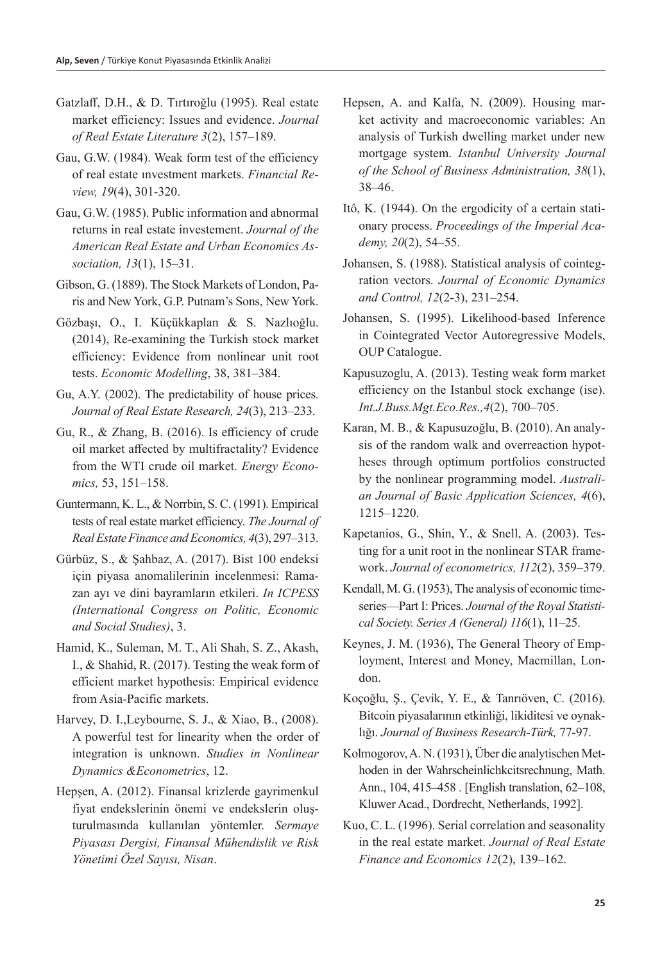- Gatzlaff, D.H., & D. Tırtıroğlu (1995). Real estate market efficiency: Issues and evidence. *Journal of Real Estate Literature 3*(2), 157–189.
- Gau, G.W. (1984). Weak form test of the efficiency of real estate ınvestment markets. *Financial Review, 19*(4), 301-320.
- Gau, G.W. (1985). Public information and abnormal returns in real estate investement. *Journal of the American Real Estate and Urban Economics Association, 13*(1), 15–31.
- Gibson, G. (1889). The Stock Markets of London, Paris and New York, G.P. Putnam's Sons, New York.
- Gözbaşı, O., I. Küçükkaplan & S. Nazlıoğlu. (2014), Re-examining the Turkish stock market efficiency: Evidence from nonlinear unit root tests. *Economic Modelling*, 38, 381–384.
- Gu, A.Y. (2002). The predictability of house prices. *Journal of Real Estate Research, 24*(3), 213–233.
- Gu, R., & Zhang, B. (2016). Is efficiency of crude oil market affected by multifractality? Evidence from the WTI crude oil market. *Energy Economics,* 53, 151–158.
- Guntermann, K. L., & Norrbin, S. C. (1991). Empirical tests of real estate market efficiency. *The Journal of Real Estate Finance and Economics, 4*(3), 297–313.
- Gürbüz, S., & Şahbaz, A. (2017). Bist 100 endeksi için piyasa anomalilerinin incelenmesi: Ramazan ayı ve dini bayramların etkileri. *In ICPESS (International Congress on Politic, Economic and Social Studies)*, 3.
- Hamid, K., Suleman, M. T., Ali Shah, S. Z., Akash, I., & Shahid, R. (2017). Testing the weak form of efficient market hypothesis: Empirical evidence from Asia-Pacific markets.
- Harvey, D. I.,Leybourne, S. J., & Xiao, B., (2008). A powerful test for linearity when the order of integration is unknown. *Studies in Nonlinear Dynamics &Econometrics*, 12.
- Hepşen, A. (2012). Finansal krizlerde gayrimenkul fiyat endekslerinin önemi ve endekslerin oluşturulmasında kullanılan yöntemler. *Sermaye Piyasası Dergisi, Finansal Mühendislik ve Risk Yönetimi Özel Sayısı, Nisan*.
- Hepsen, A. and Kalfa, N. (2009). Housing market activity and macroeconomic variables: An analysis of Turkish dwelling market under new mortgage system. *Istanbul University Journal of the School of Business Administration, 38*(1), 38–46.
- Itô, K. (1944). On the ergodicity of a certain stationary process. *Proceedings of the Imperial Academy, 20*(2), 54–55.
- Johansen, S. (1988). Statistical analysis of cointegration vectors. *Journal of Economic Dynamics and Control, 12*(2-3), 231–254.
- Johansen, S. (1995). Likelihood-based Inference in Cointegrated Vector Autoregressive Models, OUP Catalogue.
- Kapusuzoglu, A. (2013). Testing weak form market efficiency on the Istanbul stock exchange (ise). *Int.J.Buss.Mgt.Eco.Res.,4*(2), 700–705.
- Karan, M. B., & Kapusuzoğlu, B. (2010). An analysis of the random walk and overreaction hypotheses through optimum portfolios constructed by the nonlinear programming model. *Australian Journal of Basic Application Sciences, 4*(6), 1215–1220.
- Kapetanios, G., Shin, Y., & Snell, A. (2003). Testing for a unit root in the nonlinear STAR framework. *Journal of econometrics, 112*(2), 359–379.
- Kendall, M. G. (1953), The analysis of economic timeseries—Part I: Prices. *Journal of the Royal Statistical Society. Series A (General) 116*(1), 11–25.
- Keynes, J. M. (1936), The General Theory of Employment, Interest and Money, Macmillan, London.
- Koçoğlu, Ş., Çevik, Y. E., & Tanrıöven, C. (2016). Bitcoin piyasalarının etkinliği, likiditesi ve oynaklığı. *Journal of Business Research-Türk,* 77-97.
- Kolmogorov, A. N. (1931), Über die analytischen Methoden in der Wahrscheinlichkcitsrechnung, Math. Ann., 104, 415–458 . [English translation, 62–108, Kluwer Acad., Dordrecht, Netherlands, 1992].
- Kuo, C. L. (1996). Serial correlation and seasonality in the real estate market. *Journal of Real Estate Finance and Economics 12*(2), 139–162.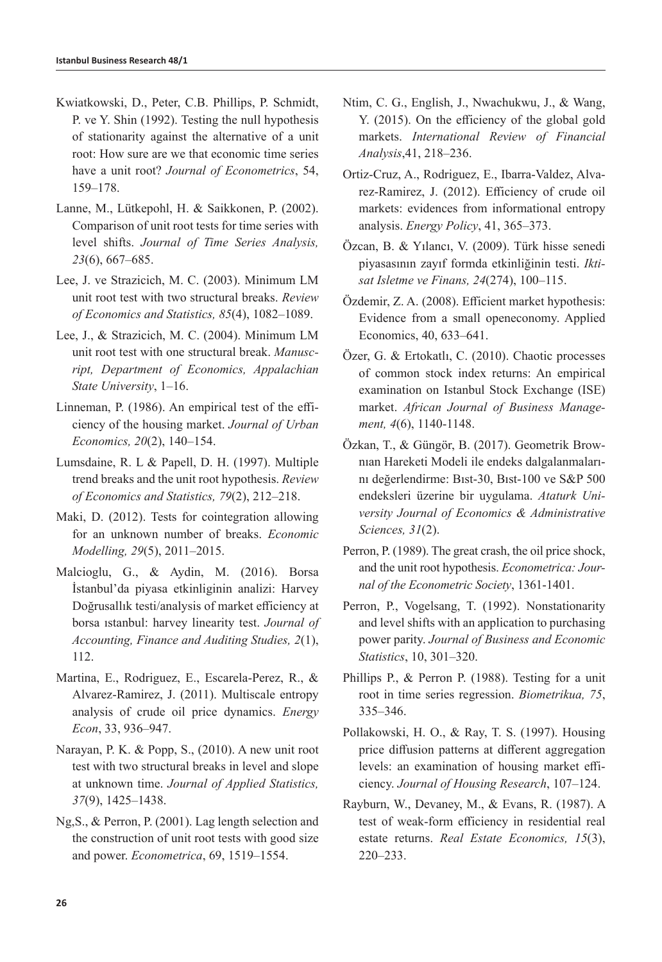- Kwiatkowski, D., Peter, C.B. Phillips, P. Schmidt, P. ve Y. Shin (1992). Testing the null hypothesis of stationarity against the alternative of a unit root: How sure are we that economic time series have a unit root? *Journal of Econometrics*, 54, 159–178.
- Lanne, M., Lütkepohl, H. & Saikkonen, P. (2002). Comparison of unit root tests for time series with level shifts. *Journal of Time Series Analysis, 23*(6), 667–685.
- Lee, J. ve Strazicich, M. C. (2003). Minimum LM unit root test with two structural breaks. *Review of Economics and Statistics, 85*(4), 1082–1089.
- Lee, J., & Strazicich, M. C. (2004). Minimum LM unit root test with one structural break. *Manuscript, Department of Economics, Appalachian State University*, 1–16.
- Linneman, P. (1986). An empirical test of the efficiency of the housing market. *Journal of Urban Economics, 20*(2), 140–154.
- Lumsdaine, R. L & Papell, D. H. (1997). Multiple trend breaks and the unit root hypothesis. *Review of Economics and Statistics, 79*(2), 212–218.
- Maki, D. (2012). Tests for cointegration allowing for an unknown number of breaks. *Economic Modelling, 29*(5), 2011–2015.
- Malcioglu, G., & Aydin, M. (2016). Borsa İstanbul'da piyasa etkinliginin analizi: Harvey Doğrusallık testi/analysis of market efficiency at borsa ıstanbul: harvey linearity test. *Journal of Accounting, Finance and Auditing Studies, 2*(1), 112.
- Martina, E., Rodriguez, E., Escarela-Perez, R., & Alvarez-Ramirez, J. (2011). Multiscale entropy analysis of crude oil price dynamics. *Energy Econ*, 33, 936–947.
- Narayan, P. K. & Popp, S., (2010). A new unit root test with two structural breaks in level and slope at unknown time. *Journal of Applied Statistics, 37*(9), 1425–1438.
- Ng,S., & Perron, P. (2001). Lag length selection and the construction of unit root tests with good size and power. *Econometrica*, 69, 1519–1554.
- Ntim, C. G., English, J., Nwachukwu, J., & Wang, Y. (2015). On the efficiency of the global gold markets. *International Review of Financial Analysis*,41, 218–236.
- Ortiz-Cruz, A., Rodriguez, E., Ibarra-Valdez, Alvarez-Ramirez, J. (2012). Efficiency of crude oil markets: evidences from informational entropy analysis. *Energy Policy*, 41, 365–373.
- Özcan, B. & Yılancı, V. (2009). Türk hisse senedi piyasasının zayıf formda etkinliğinin testi. *Iktisat Isletme ve Finans, 24*(274), 100–115.
- Özdemir, Z. A. (2008). Efficient market hypothesis: Evidence from a small openeconomy. Applied Economics, 40, 633–641.
- Özer, G. & Ertokatlı, C. (2010). Chaotic processes of common stock index returns: An empirical examination on Istanbul Stock Exchange (ISE) market. *African Journal of Business Management, 4*(6), 1140-1148.
- Özkan, T., & Güngör, B. (2017). Geometrik Brownıan Hareketi Modeli ile endeks dalgalanmalarını değerlendirme: Bıst-30, Bıst-100 ve S&P 500 endeksleri üzerine bir uygulama. *Ataturk University Journal of Economics & Administrative Sciences, 31*(2).
- Perron, P. (1989). The great crash, the oil price shock, and the unit root hypothesis. *Econometrica: Journal of the Econometric Society*, 1361-1401.
- Perron, P., Vogelsang, T. (1992). Nonstationarity and level shifts with an application to purchasing power parity. *Journal of Business and Economic Statistics*, 10, 301–320.
- Phillips P., & Perron P. (1988). Testing for a unit root in time series regression. *Biometrikua, 75*, 335–346.
- Pollakowski, H. O., & Ray, T. S. (1997). Housing price diffusion patterns at different aggregation levels: an examination of housing market efficiency. *Journal of Housing Research*, 107–124.
- Rayburn, W., Devaney, M., & Evans, R. (1987). A test of weak‐form efficiency in residential real estate returns. *Real Estate Economics, 15*(3), 220–233.